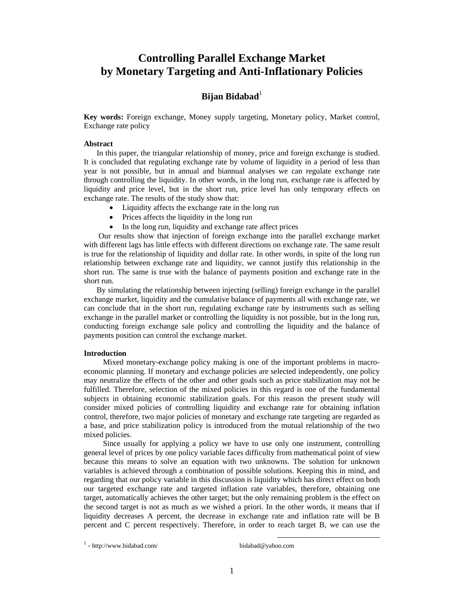# **Controlling Parallel Exchange Market by Monetary Targeting and Anti-Inflationary Policies**

# **Bijan Bidabad**<sup>1</sup>

**Key words:** Foreign exchange, Money supply targeting, Monetary policy, Market control, Exchange rate policy

### **Abstract**

In this paper, the triangular relationship of money, price and foreign exchange is studied. It is concluded that regulating exchange rate by volume of liquidity in a period of less than year is not possible, but in annual and biannual analyses we can regulate exchange rate through controlling the liquidity. In other words, in the long run, exchange rate is affected by liquidity and price level, but in the short run, price level has only temporary effects on exchange rate. The results of the study show that:

- Liquidity affects the exchange rate in the long run
- Prices affects the liquidity in the long run
- In the long run, liquidity and exchange rate affect prices

 Our results show that injection of foreign exchange into the parallel exchange market with different lags has little effects with different directions on exchange rate. The same result is true for the relationship of liquidity and dollar rate. In other words, in spite of the long run relationship between exchange rate and liquidity, we cannot justify this relationship in the short run. The same is true with the balance of payments position and exchange rate in the short run.

By simulating the relationship between injecting (selling) foreign exchange in the parallel exchange market, liquidity and the cumulative balance of payments all with exchange rate, we can conclude that in the short run, regulating exchange rate by instruments such as selling exchange in the parallel market or controlling the liquidity is not possible, but in the long run, conducting foreign exchange sale policy and controlling the liquidity and the balance of payments position can control the exchange market.

#### **Introduction**

Mixed monetary-exchange policy making is one of the important problems in macroeconomic planning. If monetary and exchange policies are selected independently, one policy may neutralize the effects of the other and other goals such as price stabilization may not be fulfilled. Therefore, selection of the mixed policies in this regard is one of the fundamental subjects in obtaining economic stabilization goals. For this reason the present study will consider mixed policies of controlling liquidity and exchange rate for obtaining inflation control, therefore, two major policies of monetary and exchange rate targeting are regarded as a base, and price stabilization policy is introduced from the mutual relationship of the two mixed policies.

Since usually for applying a policy we have to use only one instrument, controlling general level of prices by one policy variable faces difficulty from mathematical point of view because this means to solve an equation with two unknowns. The solution for unknown variables is achieved through a combination of possible solutions. Keeping this in mind, and regarding that our policy variable in this discussion is liquidity which has direct effect on both our targeted exchange rate and targeted inflation rate variables, therefore, obtaining one target, automatically achieves the other target; but the only remaining problem is the effect on the second target is not as much as we wished a priori. In the other words, it means that if liquidity decreases A percent, the decrease in exchange rate and inflation rate will be B percent and C percent respectively. Therefore, in order to reach target B, we can use the

 $1$  - http://www.bidabad.com/ bidabad@yahoo.com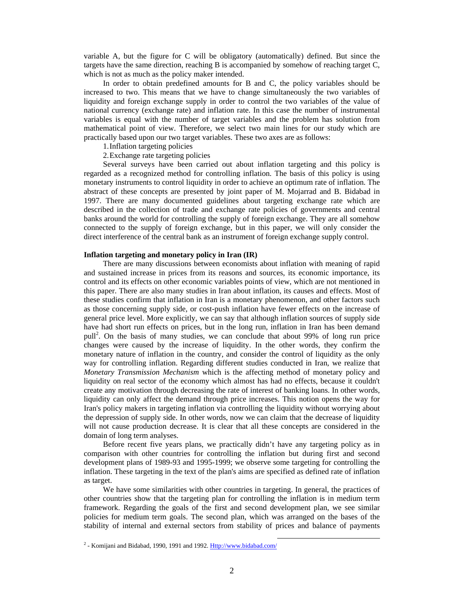variable A, but the figure for C will be obligatory (automatically) defined. But since the targets have the same direction, reaching B is accompanied by somehow of reaching target C, which is not as much as the policy maker intended.

In order to obtain predefined amounts for B and C, the policy variables should be increased to two. This means that we have to change simultaneously the two variables of liquidity and foreign exchange supply in order to control the two variables of the value of national currency (exchange rate) and inflation rate. In this case the number of instrumental variables is equal with the number of target variables and the problem has solution from mathematical point of view. Therefore, we select two main lines for our study which are practically based upon our two target variables. These two axes are as follows:

1.Inflation targeting policies

2.Exchange rate targeting policies

Several surveys have been carried out about inflation targeting and this policy is regarded as a recognized method for controlling inflation. The basis of this policy is using monetary instruments to control liquidity in order to achieve an optimum rate of inflation. The abstract of these concepts are presented by joint paper of M. Mojarrad and B. Bidabad in 1997. There are many documented guidelines about targeting exchange rate which are described in the collection of trade and exchange rate policies of governments and central banks around the world for controlling the supply of foreign exchange. They are all somehow connected to the supply of foreign exchange, but in this paper, we will only consider the direct interference of the central bank as an instrument of foreign exchange supply control.

#### **Inflation targeting and monetary policy in Iran (IR)**

There are many discussions between economists about inflation with meaning of rapid and sustained increase in prices from its reasons and sources, its economic importance, its control and its effects on other economic variables points of view, which are not mentioned in this paper. There are also many studies in Iran about inflation, its causes and effects. Most of these studies confirm that inflation in Iran is a monetary phenomenon, and other factors such as those concerning supply side, or cost-push inflation have fewer effects on the increase of general price level. More explicitly, we can say that although inflation sources of supply side have had short run effects on prices, but in the long run, inflation in Iran has been demand pull<sup>2</sup>. On the basis of many studies, we can conclude that about 99% of long run price changes were caused by the increase of liquidity. In the other words, they confirm the monetary nature of inflation in the country, and consider the control of liquidity as the only way for controlling inflation. Regarding different studies conducted in Iran, we realize that *Monetary Transmission Mechanism* which is the affecting method of monetary policy and liquidity on real sector of the economy which almost has had no effects, because it couldn't create any motivation through decreasing the rate of interest of banking loans. In other words, liquidity can only affect the demand through price increases. This notion opens the way for Iran's policy makers in targeting inflation via controlling the liquidity without worrying about the depression of supply side. In other words, now we can claim that the decrease of liquidity will not cause production decrease. It is clear that all these concepts are considered in the domain of long term analyses.

Before recent five years plans, we practically didn't have any targeting policy as in comparison with other countries for controlling the inflation but during first and second development plans of 1989-93 and 1995-1999; we observe some targeting for controlling the inflation. These targeting in the text of the plan's aims are specified as defined rate of inflation as target.

We have some similarities with other countries in targeting. In general, the practices of other countries show that the targeting plan for controlling the inflation is in medium term framework. Regarding the goals of the first and second development plan, we see similar policies for medium term goals. The second plan, which was arranged on the bases of the stability of internal and external sectors from stability of prices and balance of payments

<sup>&</sup>lt;sup>2</sup> - Komijani and Bidabad, 1990, 1991 and 1992. <u>Http://www.bidabad.com/</u>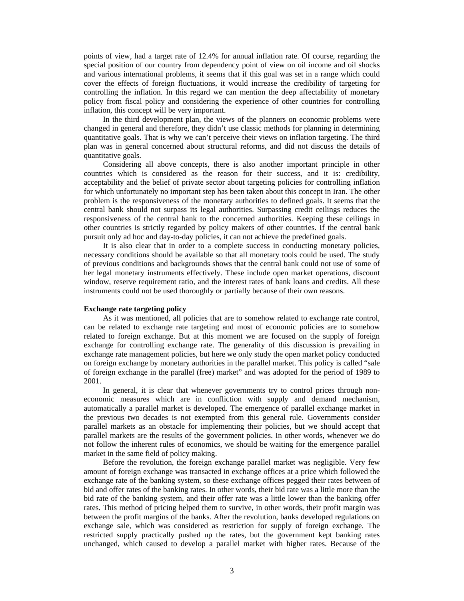points of view, had a target rate of 12.4% for annual inflation rate. Of course, regarding the special position of our country from dependency point of view on oil income and oil shocks and various international problems, it seems that if this goal was set in a range which could cover the effects of foreign fluctuations, it would increase the credibility of targeting for controlling the inflation. In this regard we can mention the deep affectability of monetary policy from fiscal policy and considering the experience of other countries for controlling inflation, this concept will be very important.

In the third development plan, the views of the planners on economic problems were changed in general and therefore, they didn't use classic methods for planning in determining quantitative goals. That is why we can't perceive their views on inflation targeting. The third plan was in general concerned about structural reforms, and did not discuss the details of quantitative goals.

Considering all above concepts, there is also another important principle in other countries which is considered as the reason for their success, and it is: credibility, acceptability and the belief of private sector about targeting policies for controlling inflation for which unfortunately no important step has been taken about this concept in Iran. The other problem is the responsiveness of the monetary authorities to defined goals. It seems that the central bank should not surpass its legal authorities. Surpassing credit ceilings reduces the responsiveness of the central bank to the concerned authorities. Keeping these ceilings in other countries is strictly regarded by policy makers of other countries. If the central bank pursuit only ad hoc and day-to-day policies, it can not achieve the predefined goals.

It is also clear that in order to a complete success in conducting monetary policies, necessary conditions should be available so that all monetary tools could be used. The study of previous conditions and backgrounds shows that the central bank could not use of some of her legal monetary instruments effectively. These include open market operations, discount window, reserve requirement ratio, and the interest rates of bank loans and credits. All these instruments could not be used thoroughly or partially because of their own reasons.

### **Exchange rate targeting policy**

As it was mentioned, all policies that are to somehow related to exchange rate control, can be related to exchange rate targeting and most of economic policies are to somehow related to foreign exchange. But at this moment we are focused on the supply of foreign exchange for controlling exchange rate. The generality of this discussion is prevailing in exchange rate management policies, but here we only study the open market policy conducted on foreign exchange by monetary authorities in the parallel market. This policy is called "sale of foreign exchange in the parallel (free) market" and was adopted for the period of 1989 to 2001.

In general, it is clear that whenever governments try to control prices through noneconomic measures which are in confliction with supply and demand mechanism, automatically a parallel market is developed. The emergence of parallel exchange market in the previous two decades is not exempted from this general rule. Governments consider parallel markets as an obstacle for implementing their policies, but we should accept that parallel markets are the results of the government policies. In other words, whenever we do not follow the inherent rules of economics, we should be waiting for the emergence parallel market in the same field of policy making.

Before the revolution, the foreign exchange parallel market was negligible. Very few amount of foreign exchange was transacted in exchange offices at a price which followed the exchange rate of the banking system, so these exchange offices pegged their rates between of bid and offer rates of the banking rates. In other words, their bid rate was a little more than the bid rate of the banking system, and their offer rate was a little lower than the banking offer rates. This method of pricing helped them to survive, in other words, their profit margin was between the profit margins of the banks. After the revolution, banks developed regulations on exchange sale, which was considered as restriction for supply of foreign exchange. The restricted supply practically pushed up the rates, but the government kept banking rates unchanged, which caused to develop a parallel market with higher rates. Because of the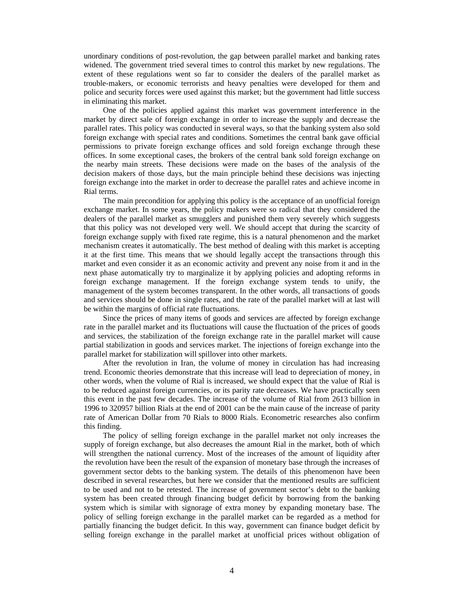unordinary conditions of post-revolution, the gap between parallel market and banking rates widened. The government tried several times to control this market by new regulations. The extent of these regulations went so far to consider the dealers of the parallel market as trouble-makers, or economic terrorists and heavy penalties were developed for them and police and security forces were used against this market; but the government had little success in eliminating this market.

One of the policies applied against this market was government interference in the market by direct sale of foreign exchange in order to increase the supply and decrease the parallel rates. This policy was conducted in several ways, so that the banking system also sold foreign exchange with special rates and conditions. Sometimes the central bank gave official permissions to private foreign exchange offices and sold foreign exchange through these offices. In some exceptional cases, the brokers of the central bank sold foreign exchange on the nearby main streets. These decisions were made on the bases of the analysis of the decision makers of those days, but the main principle behind these decisions was injecting foreign exchange into the market in order to decrease the parallel rates and achieve income in Rial terms.

The main precondition for applying this policy is the acceptance of an unofficial foreign exchange market. In some years, the policy makers were so radical that they considered the dealers of the parallel market as smugglers and punished them very severely which suggests that this policy was not developed very well. We should accept that during the scarcity of foreign exchange supply with fixed rate regime, this is a natural phenomenon and the market mechanism creates it automatically. The best method of dealing with this market is accepting it at the first time. This means that we should legally accept the transactions through this market and even consider it as an economic activity and prevent any noise from it and in the next phase automatically try to marginalize it by applying policies and adopting reforms in foreign exchange management. If the foreign exchange system tends to unify, the management of the system becomes transparent. In the other words, all transactions of goods and services should be done in single rates, and the rate of the parallel market will at last will be within the margins of official rate fluctuations.

Since the prices of many items of goods and services are affected by foreign exchange rate in the parallel market and its fluctuations will cause the fluctuation of the prices of goods and services, the stabilization of the foreign exchange rate in the parallel market will cause partial stabilization in goods and services market. The injections of foreign exchange into the parallel market for stabilization will spillover into other markets.

After the revolution in Iran, the volume of money in circulation has had increasing trend. Economic theories demonstrate that this increase will lead to depreciation of money, in other words, when the volume of Rial is increased, we should expect that the value of Rial is to be reduced against foreign currencies, or its parity rate decreases. We have practically seen this event in the past few decades. The increase of the volume of Rial from 2613 billion in 1996 to 320957 billion Rials at the end of 2001 can be the main cause of the increase of parity rate of American Dollar from 70 Rials to 8000 Rials. Econometric researches also confirm this finding.

The policy of selling foreign exchange in the parallel market not only increases the supply of foreign exchange, but also decreases the amount Rial in the market, both of which will strengthen the national currency. Most of the increases of the amount of liquidity after the revolution have been the result of the expansion of monetary base through the increases of government sector debts to the banking system. The details of this phenomenon have been described in several researches, but here we consider that the mentioned results are sufficient to be used and not to be retested. The increase of government sector's debt to the banking system has been created through financing budget deficit by borrowing from the banking system which is similar with signorage of extra money by expanding monetary base. The policy of selling foreign exchange in the parallel market can be regarded as a method for partially financing the budget deficit. In this way, government can finance budget deficit by selling foreign exchange in the parallel market at unofficial prices without obligation of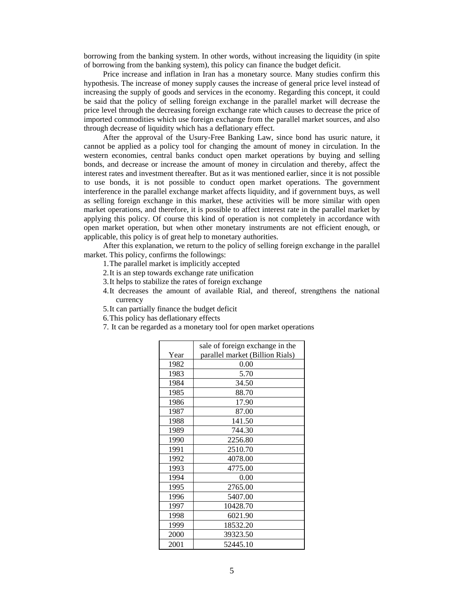borrowing from the banking system. In other words, without increasing the liquidity (in spite of borrowing from the banking system), this policy can finance the budget deficit.

Price increase and inflation in Iran has a monetary source. Many studies confirm this hypothesis. The increase of money supply causes the increase of general price level instead of increasing the supply of goods and services in the economy. Regarding this concept, it could be said that the policy of selling foreign exchange in the parallel market will decrease the price level through the decreasing foreign exchange rate which causes to decrease the price of imported commodities which use foreign exchange from the parallel market sources, and also through decrease of liquidity which has a deflationary effect.

After the approval of the Usury-Free Banking Law, since bond has usuric nature, it cannot be applied as a policy tool for changing the amount of money in circulation. In the western economies, central banks conduct open market operations by buying and selling bonds, and decrease or increase the amount of money in circulation and thereby, affect the interest rates and investment thereafter. But as it was mentioned earlier, since it is not possible to use bonds, it is not possible to conduct open market operations. The government interference in the parallel exchange market affects liquidity, and if government buys, as well as selling foreign exchange in this market, these activities will be more similar with open market operations, and therefore, it is possible to affect interest rate in the parallel market by applying this policy. Of course this kind of operation is not completely in accordance with open market operation, but when other monetary instruments are not efficient enough, or applicable, this policy is of great help to monetary authorities.

After this explanation, we return to the policy of selling foreign exchange in the parallel market. This policy, confirms the followings:

- 1.The parallel market is implicitly accepted
- 2.It is an step towards exchange rate unification
- 3.It helps to stabilize the rates of foreign exchange
- 4.It decreases the amount of available Rial, and thereof, strengthens the national currency
- 5.It can partially finance the budget deficit
- 6.This policy has deflationary effects
- 7. It can be regarded as a monetary tool for open market operations

|      | sale of foreign exchange in the |
|------|---------------------------------|
| Year | parallel market (Billion Rials) |
| 1982 | 0.00                            |
| 1983 | 5.70                            |
| 1984 | 34.50                           |
| 1985 | 88.70                           |
| 1986 | 17.90                           |
| 1987 | 87.00                           |
| 1988 | 141.50                          |
| 1989 | 744.30                          |
| 1990 | 2256.80                         |
| 1991 | 2510.70                         |
| 1992 | 4078.00                         |
| 1993 | 4775.00                         |
| 1994 | 0.00                            |
| 1995 | 2765.00                         |
| 1996 | 5407.00                         |
| 1997 | 10428.70                        |
| 1998 | 6021.90                         |
| 1999 | 18532.20                        |
| 2000 | 39323.50                        |
| 2001 | 52445.10                        |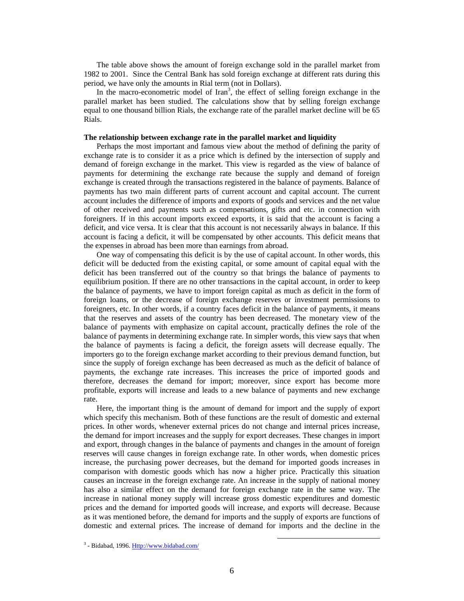The table above shows the amount of foreign exchange sold in the parallel market from 1982 to 2001. Since the Central Bank has sold foreign exchange at different rats during this period, we have only the amounts in Rial term (not in Dollars).

In the macro-econometric model of  $\text{Iran}^3$ , the effect of selling foreign exchange in the parallel market has been studied. The calculations show that by selling foreign exchange equal to one thousand billion Rials, the exchange rate of the parallel market decline will be 65 Rials.

#### **The relationship between exchange rate in the parallel market and liquidity**

Perhaps the most important and famous view about the method of defining the parity of exchange rate is to consider it as a price which is defined by the intersection of supply and demand of foreign exchange in the market. This view is regarded as the view of balance of payments for determining the exchange rate because the supply and demand of foreign exchange is created through the transactions registered in the balance of payments. Balance of payments has two main different parts of current account and capital account. The current account includes the difference of imports and exports of goods and services and the net value of other received and payments such as compensations, gifts and etc. in connection with foreigners. If in this account imports exceed exports, it is said that the account is facing a deficit, and vice versa. It is clear that this account is not necessarily always in balance. If this account is facing a deficit, it will be compensated by other accounts. This deficit means that the expenses in abroad has been more than earnings from abroad.

One way of compensating this deficit is by the use of capital account. In other words, this deficit will be deducted from the existing capital, or some amount of capital equal with the deficit has been transferred out of the country so that brings the balance of payments to equilibrium position. If there are no other transactions in the capital account, in order to keep the balance of payments, we have to import foreign capital as much as deficit in the form of foreign loans, or the decrease of foreign exchange reserves or investment permissions to foreigners, etc. In other words, if a country faces deficit in the balance of payments, it means that the reserves and assets of the country has been decreased. The monetary view of the balance of payments with emphasize on capital account, practically defines the role of the balance of payments in determining exchange rate. In simpler words, this view says that when the balance of payments is facing a deficit, the foreign assets will decrease equally. The importers go to the foreign exchange market according to their previous demand function, but since the supply of foreign exchange has been decreased as much as the deficit of balance of payments, the exchange rate increases. This increases the price of imported goods and therefore, decreases the demand for import; moreover, since export has become more profitable, exports will increase and leads to a new balance of payments and new exchange rate.

Here, the important thing is the amount of demand for import and the supply of export which specify this mechanism. Both of these functions are the result of domestic and external prices. In other words, whenever external prices do not change and internal prices increase, the demand for import increases and the supply for export decreases. These changes in import and export, through changes in the balance of payments and changes in the amount of foreign reserves will cause changes in foreign exchange rate. In other words, when domestic prices increase, the purchasing power decreases, but the demand for imported goods increases in comparison with domestic goods which has now a higher price. Practically this situation causes an increase in the foreign exchange rate. An increase in the supply of national money has also a similar effect on the demand for foreign exchange rate in the same way. The increase in national money supply will increase gross domestic expenditures and domestic prices and the demand for imported goods will increase, and exports will decrease. Because as it was mentioned before, the demand for imports and the supply of exports are functions of domestic and external prices. The increase of demand for imports and the decline in the

<sup>&</sup>lt;sup>3</sup> - Bidabad, 1996. <u>Http://www.bidabad.com/</u>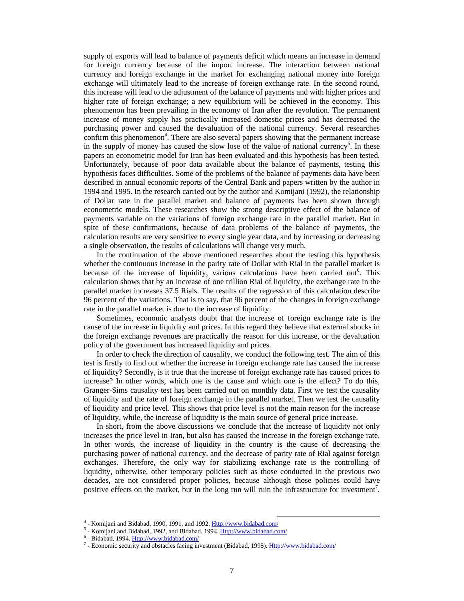supply of exports will lead to balance of payments deficit which means an increase in demand for foreign currency because of the import increase. The interaction between national currency and foreign exchange in the market for exchanging national money into foreign exchange will ultimately lead to the increase of foreign exchange rate. In the second round, this increase will lead to the adjustment of the balance of payments and with higher prices and higher rate of foreign exchange; a new equilibrium will be achieved in the economy. This phenomenon has been prevailing in the economy of Iran after the revolution. The permanent increase of money supply has practically increased domestic prices and has decreased the purchasing power and caused the devaluation of the national currency. Several researches confirm this phenomenon<sup>4</sup>. There are also several papers showing that the permanent increase in the supply of money has caused the slow lose of the value of national currency<sup>5</sup>. In these papers an econometric model for Iran has been evaluated and this hypothesis has been tested. Unfortunately, because of poor data available about the balance of payments, testing this hypothesis faces difficulties. Some of the problems of the balance of payments data have been described in annual economic reports of the Central Bank and papers written by the author in 1994 and 1995. In the research carried out by the author and Komijani (1992), the relationship of Dollar rate in the parallel market and balance of payments has been shown through econometric models. These researches show the strong descriptive effect of the balance of payments variable on the variations of foreign exchange rate in the parallel market. But in spite of these confirmations, because of data problems of the balance of payments, the calculation results are very sensitive to every single year data, and by increasing or decreasing a single observation, the results of calculations will change very much.

In the continuation of the above mentioned researches about the testing this hypothesis whether the continuous increase in the parity rate of Dollar with Rial in the parallel market is because of the increase of liquidity, various calculations have been carried out<sup>6</sup>. This calculation shows that by an increase of one trillion Rial of liquidity, the exchange rate in the parallel market increases 37.5 Rials. The results of the regression of this calculation describe 96 percent of the variations. That is to say, that 96 percent of the changes in foreign exchange rate in the parallel market is due to the increase of liquidity.

Sometimes, economic analysts doubt that the increase of foreign exchange rate is the cause of the increase in liquidity and prices. In this regard they believe that external shocks in the foreign exchange revenues are practically the reason for this increase, or the devaluation policy of the government has increased liquidity and prices.

In order to check the direction of causality, we conduct the following test. The aim of this test is firstly to find out whether the increase in foreign exchange rate has caused the increase of liquidity? Secondly, is it true that the increase of foreign exchange rate has caused prices to increase? In other words, which one is the cause and which one is the effect? To do this, Granger-Sims causality test has been carried out on monthly data. First we test the causality of liquidity and the rate of foreign exchange in the parallel market. Then we test the causality of liquidity and price level. This shows that price level is not the main reason for the increase of liquidity, while, the increase of liquidity is the main source of general price increase.

In short, from the above discussions we conclude that the increase of liquidity not only increases the price level in Iran, but also has caused the increase in the foreign exchange rate. In other words, the increase of liquidity in the country is the cause of decreasing the purchasing power of national currency, and the decrease of parity rate of Rial against foreign exchanges. Therefore, the only way for stabilizing exchange rate is the controlling of liquidity, otherwise, other temporary policies such as those conducted in the previous two decades, are not considered proper policies, because although those policies could have positive effects on the market, but in the long run will ruin the infrastructure for investment<sup>7</sup>.

 $4$  - Komijani and Bidabad, 1990, 1991, and 1992. Http://www.bidabad.com/ <sup>4</sup> - Komijani and Bidabad, 1990, 1991, and 1992.  $\underline{Htp://www.bidabad.com/5}$ <br>
5. Komijani and Bidabad, 1992, and Bidabad, 1994. *Http://www.bidabad.com/* 

 $^5$  - Komijani and Bidabad, 1992, and Bidabad, 1994.  $\underline{Http://www.bidabad.com/}$ <br>  $^6$  - Bidabad, 1994. Http://www.bidabad.com/

<sup>&</sup>lt;sup>6</sup> - Bidabad, 1994. **Http://www.bidabad.com/** 

<sup>&</sup>lt;sup>7</sup> - Economic security and obstacles facing investment (Bidabad, 1995). Http://www.bidabad.com/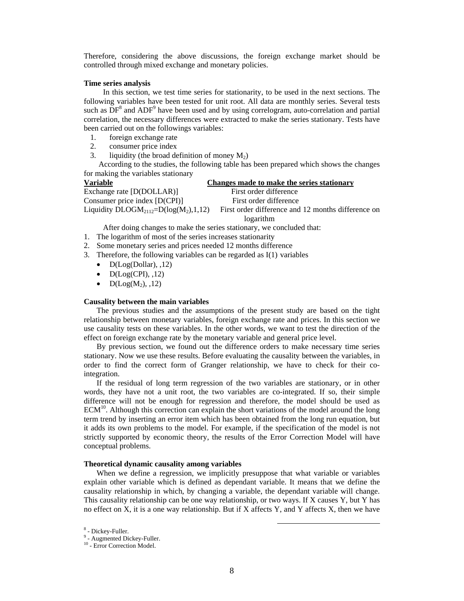Therefore, considering the above discussions, the foreign exchange market should be controlled through mixed exchange and monetary policies.

#### **Time series analysis**

In this section, we test time series for stationarity, to be used in the next sections. The following variables have been tested for unit root. All data are monthly series. Several tests such as  $DF<sup>8</sup>$  and  $ADF<sup>9</sup>$  have been used and by using correlogram, auto-correlation and partial correlation, the necessary differences were extracted to make the series stationary. Tests have been carried out on the followings variables:

- 1. foreign exchange rate
- 2. consumer price index
- 3. liquidity (the broad definition of money  $M_2$ )

 According to the studies, the following table has been prepared which shows the changes for making the variables stationary

**Variable Changes made to make the series stationary** Exchange rate [D(DOLLAR)] First order difference Consumer price index [D(CPI)] First order difference Liquidity  $DLOGM_{2112}=D(log(M_{2}),1,12)$  First order difference and 12 months difference on logarithm

After doing changes to make the series stationary, we concluded that:

- 1. The logarithm of most of the series increases stationarity
- 2. Some monetary series and prices needed 12 months difference
- 3. Therefore, the following variables can be regarded as I(1) variables
	- $\bullet$  D(Log(Dollar), ,12)
	- $D(Log(CPI), 12)$
	- $D(Log(M_2), 12)$

#### **Causality between the main variables**

The previous studies and the assumptions of the present study are based on the tight relationship between monetary variables, foreign exchange rate and prices. In this section we use causality tests on these variables. In the other words, we want to test the direction of the effect on foreign exchange rate by the monetary variable and general price level.

By previous section, we found out the difference orders to make necessary time series stationary. Now we use these results. Before evaluating the causality between the variables, in order to find the correct form of Granger relationship, we have to check for their cointegration.

If the residual of long term regression of the two variables are stationary, or in other words, they have not a unit root, the two variables are co-integrated. If so, their simple difference will not be enough for regression and therefore, the model should be used as  $ECM<sup>10</sup>$ . Although this correction can explain the short variations of the model around the long term trend by inserting an error item which has been obtained from the long run equation, but it adds its own problems to the model. For example, if the specification of the model is not strictly supported by economic theory, the results of the Error Correction Model will have conceptual problems.

#### **Theoretical dynamic causality among variables**

When we define a regression, we implicitly presuppose that what variable or variables explain other variable which is defined as dependant variable. It means that we define the causality relationship in which, by changing a variable, the dependant variable will change. This causality relationship can be one way relationship, or two ways. If X causes Y, but Y has no effect on X, it is a one way relationship. But if X affects Y, and Y affects X, then we have

 $8\overline{\phantom{1}}$  Dickey Euller <sup>8</sup> - Dickey-Fuller.

<sup>9</sup> - Augmented Dickey-Fuller.

<sup>&</sup>lt;sup>10</sup> - Error Correction Model.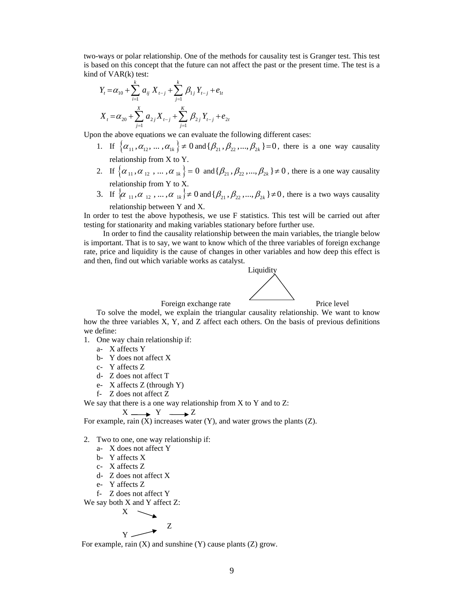two-ways or polar relationship. One of the methods for causality test is Granger test. This test is based on this concept that the future can not affect the past or the present time. The test is a kind of VAR(k) test:

$$
Y_{t} = \alpha_{10} + \sum_{i=1}^{k} a_{ij} X_{t-j} + \sum_{j=1}^{k} \beta_{1j} Y_{t-j} + e_{1t}
$$
  

$$
X_{t} = \alpha_{20} + \sum_{j=1}^{X} a_{2j} X_{t-j} + \sum_{j=1}^{K} \beta_{2j} Y_{t-j} + e_{2t}
$$

Upon the above equations we can evaluate the following different cases:

- 1. If  $\{\alpha_{11}, \alpha_{12}, \dots, \alpha_{1k}\}\neq 0$  and  $\{\beta_{21}, \beta_{22}, \dots, \beta_{2k}\}=0$ , there is a one way causality relationship from X to Y.
- 2. If  $\{\alpha_{11}, \alpha_{12}, \dots, \alpha_{1k}\}=0$  and  $\{\beta_{21}, \beta_{22}, \dots, \beta_{2k}\}\neq 0$ , there is a one way causality relationship from Y to X.
- 3. If  $\{\alpha_{11}, \alpha_{12}, ..., \alpha_{1k}\}\neq 0$  and  $\{\beta_{21}, \beta_{22}, ..., \beta_{2k}\}\neq 0$ , there is a two ways causality relationship between Y and X.

In order to test the above hypothesis, we use F statistics. This test will be carried out after testing for stationarity and making variables stationary before further use.

In order to find the causality relationship between the main variables, the triangle below is important. That is to say, we want to know which of the three variables of foreign exchange rate, price and liquidity is the cause of changes in other variables and how deep this effect is and then, find out which variable works as catalyst.



To solve the model, we explain the triangular causality relationship. We want to know how the three variables X, Y, and Z affect each others. On the basis of previous definitions we define:

1. One way chain relationship if:

a- X affects Y

- b- Y does not affect X
- c- Y affects Z
- d- Z does not affect T
- e- X affects Z (through Y)
- f- Z does not affect Z

We say that there is a one way relationship from  $X$  to  $Y$  and to  $Z$ :

$$
X \longrightarrow Y \longrightarrow Z
$$

For example, rain  $(X)$  increases water  $(Y)$ , and water grows the plants  $(Z)$ .

- 2. Two to one, one way relationship if:
	- a- X does not affect Y
	- b- Y affects X
	- c- X affects Z
	- d- Z does not affect X
	- e- Y affects Z
	- f- Z does not affect Y

We say both X and Y affect Z:

$$
\begin{array}{c}\nX \searrow \\
Y \nearrow\n\end{array}
$$

For example, rain  $(X)$  and sunshine  $(Y)$  cause plants  $(Z)$  grow.

Z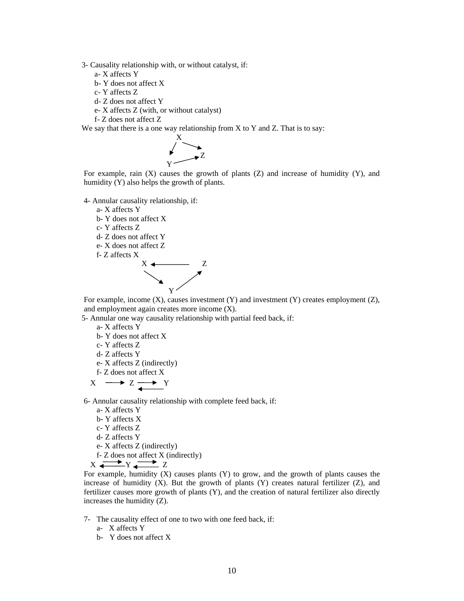3- Causality relationship with, or without catalyst, if:

a- X affects Y

- b- Y does not affect X
- c- Y affects Z
- d- Z does not affect Y
- e- X affects Z (with, or without catalyst)
- f- Z does not affect Z

We say that there is a one way relationship from  $X$  to  $Y$  and  $Z$ . That is to say:



For example, rain  $(X)$  causes the growth of plants  $(Z)$  and increase of humidity  $(Y)$ , and humidity (Y) also helps the growth of plants.

4- Annular causality relationship, if:

a- X affects Y

b- Y does not affect X

c- Y affects Z

- d- Z does not affect Y
- e- X does not affect Z

f- Z affects X



For example, income (X), causes investment (Y) and investment (Y) creates employment (Z), and employment again creates more income (X).

5- Annular one way causality relationship with partial feed back, if:

a- X affects Y

- b- Y does not affect X
- c- Y affects Z
- d- Z affects Y
- e- X affects Z (indirectly)
- f- Z does not affect X

$$
X \longrightarrow Z \longrightarrow Y
$$

6- Annular causality relationship with complete feed back, if:

- a- X affects Y
- b- Y affects X
- c- Y affects Z
- d- Z affects Y
- e- X affects Z (indirectly)
- f- Z does not affect X (indirectly)

 $X \xrightarrow{p} Y \xrightarrow{r} Z$ 

For example, humidity  $(X)$  causes plants  $(Y)$  to grow, and the growth of plants causes the increase of humidity  $(X)$ . But the growth of plants  $(Y)$  creates natural fertilizer  $(Z)$ , and fertilizer causes more growth of plants (Y), and the creation of natural fertilizer also directly increases the humidity (Z).

- 7- The causality effect of one to two with one feed back, if:
	- a- X affects Y
	- b- Y does not affect X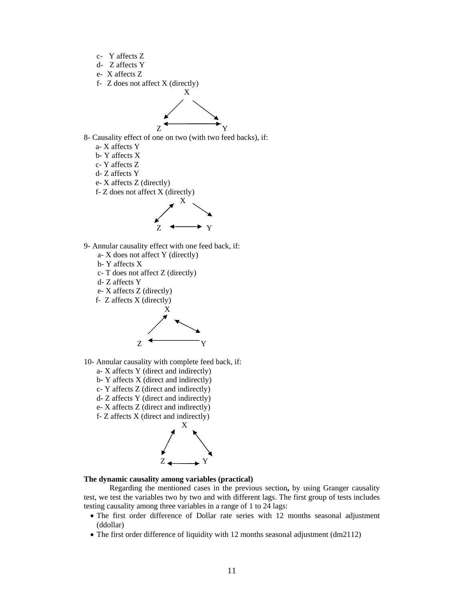- c- Y affects Z
- d- Z affects Y
- e- X affects Z
- f- Z does not affect X (directly)



8- Causality effect of one on two (with two feed backs), if:

- a- X affects Y
- b- Y affects X
- c- Y affects Z
- d- Z affects Y
- e- X affects Z (directly)
- f- Z does not affect X (directly)



- 9- Annular causality effect with one feed back, if:
	- a- X does not affect Y (directly)
	- b- Y affects X
	- c- T does not affect Z (directly)
	- d- Z affects Y
	- e- X affects Z (directly)
	- f- Z affects X (directly)



- 10- Annular causality with complete feed back, if:
	- a- X affects Y (direct and indirectly)
	- b- Y affects X (direct and indirectly)
	- c- Y affects Z (direct and indirectly)
	- d- Z affects Y (direct and indirectly)
	- e- X affects Z (direct and indirectly)
	- f- Z affects X (direct and indirectly)



## **The dynamic causality among variables (practical)**

Regarding the mentioned cases in the previous section**,** by using Granger causality test, we test the variables two by two and with different lags. The first group of tests includes testing causality among three variables in a range of 1 to 24 lags:

- The first order difference of Dollar rate series with 12 months seasonal adjustment (ddollar)
- The first order difference of liquidity with 12 months seasonal adjustment (dm2112)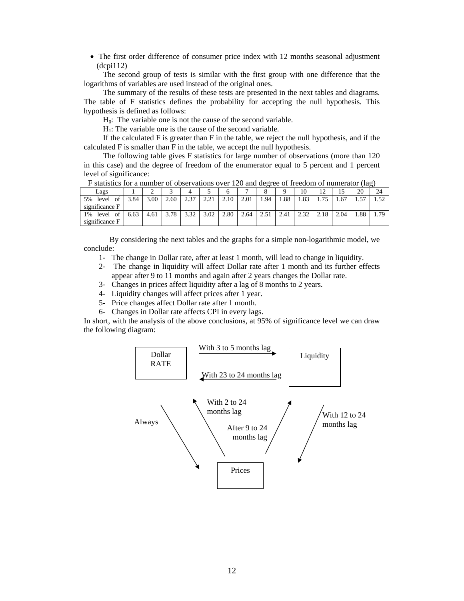• The first order difference of consumer price index with 12 months seasonal adjustment (dcpi112)

The second group of tests is similar with the first group with one difference that the logarithms of variables are used instead of the original ones.

The summary of the results of these tests are presented in the next tables and diagrams. The table of F statistics defines the probability for accepting the null hypothesis. This hypothesis is defined as follows:

 $H<sub>0</sub>$ : The variable one is not the cause of the second variable.

 $H<sub>1</sub>$ : The variable one is the cause of the second variable.

If the calculated F is greater than F in the table, we reject the null hypothesis, and if the calculated F is smaller than F in the table, we accept the null hypothesis.

The following table gives F statistics for large number of observations (more than 120 in this case) and the degree of freedom of the enumerator equal to 5 percent and 1 percent level of significance:

|                                      | $\Gamma$ statistics for a humber of observations over 120 and degree of recuoin of humerator (iag) |      |      |      |      |      |      |      |      |      |      |      |      |      |
|--------------------------------------|----------------------------------------------------------------------------------------------------|------|------|------|------|------|------|------|------|------|------|------|------|------|
| Lags                                 |                                                                                                    |      |      |      |      |      |      |      |      | 10   |      |      | 20   | 24   |
| 5%<br>level<br>of<br>significance F  | 3.84                                                                                               | 3.00 | 2.60 | 2.37 | 221  | 2.10 | 2.01 | 1.94 | . 88 | 1.83 |      | 1.67 | 1.57 | 1.52 |
| 1%<br>level<br>-of<br>significance F | 6.63                                                                                               | 4.61 | 3.78 | 3.32 | 3.02 | 2.80 | 2.64 | 2.51 | 2.41 | 2.32 | 2.18 | 2.04 | .88  | . 79 |

 $F$  statistics for a number of observations over 120 and degree of freedom of numerator (lag)

By considering the next tables and the graphs for a simple non-logarithmic model, we conclude:

- 1- The change in Dollar rate, after at least 1 month, will lead to change in liquidity.
- 2- The change in liquidity will affect Dollar rate after 1 month and its further effects appear after 9 to 11 months and again after 2 years changes the Dollar rate.
- 3- Changes in prices affect liquidity after a lag of 8 months to 2 years.
- 4- Liquidity changes will affect prices after 1 year.
- 5- Price changes affect Dollar rate after 1 month.
- 6- Changes in Dollar rate affects CPI in every lags.

In short, with the analysis of the above conclusions, at 95% of significance level we can draw the following diagram:

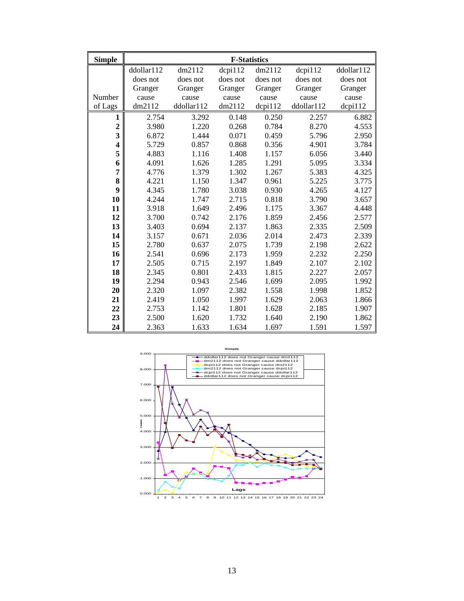| <b>Simple</b>           | <b>F-Statistics</b> |            |               |               |               |               |  |
|-------------------------|---------------------|------------|---------------|---------------|---------------|---------------|--|
|                         | ddollar112          | dm2112     | $d$ cpi $112$ | dm2112        | $d$ cpi $112$ | ddollar112    |  |
|                         | does not            | does not   | does not      | does not      | does not      | does not      |  |
|                         | Granger             | Granger    | Granger       | Granger       | Granger       | Granger       |  |
| Number                  | cause               | cause      | cause         | cause         | cause         | cause         |  |
| of Lags                 | dm2112              | ddollar112 | dm2112        | $d$ cpi $112$ | ddollar112    | $d$ cpi $112$ |  |
| 1                       | 2.754               | 3.292      | 0.148         | 0.250         | 2.257         | 6.882         |  |
| $\overline{c}$          | 3.980               | 1.220      | 0.268         | 0.784         | 8.270         | 4.553         |  |
| 3                       | 6.872               | 1.444      | 0.071         | 0.459         | 5.796         | 2.950         |  |
| $\overline{\mathbf{4}}$ | 5.729               | 0.857      | 0.868         | 0.356         | 4.901         | 3.784         |  |
| 5                       | 4.883               | 1.116      | 1.408         | 1.157         | 6.056         | 3.440         |  |
| 6                       | 4.091               | 1.626      | 1.285         | 1.291         | 5.095         | 3.334         |  |
| $\overline{7}$          | 4.776               | 1.379      | 1.302         | 1.267         | 5.383         | 4.325         |  |
| 8                       | 4.221               | 1.150      | 1.347         | 0.961         | 5.225         | 3.775         |  |
| 9                       | 4.345               | 1.780      | 3.038         | 0.930         | 4.265         | 4.127         |  |
| 10                      | 4.244               | 1.747      | 2.715         | 0.818         | 3.790         | 3.657         |  |
| 11                      | 3.918               | 1.649      | 2.496         | 1.175         | 3.367         | 4.448         |  |
| 12                      | 3.700               | 0.742      | 2.176         | 1.859         | 2.456         | 2.577         |  |
| 13                      | 3.403               | 0.694      | 2.137         | 1.863         | 2.335         | 2.509         |  |
| 14                      | 3.157               | 0.671      | 2.036         | 2.014         | 2.473         | 2.339         |  |
| 15                      | 2.780               | 0.637      | 2.075         | 1.739         | 2.198         | 2.622         |  |
| 16                      | 2.541               | 0.696      | 2.173         | 1.959         | 2.232         | 2.250         |  |
| 17                      | 2.505               | 0.715      | 2.197         | 1.849         | 2.107         | 2.102         |  |
| 18                      | 2.345               | 0.801      | 2.433         | 1.815         | 2.227         | 2.057         |  |
| 19                      | 2.294               | 0.943      | 2.546         | 1.699         | 2.095         | 1.992         |  |
| 20                      | 2.320               | 1.097      | 2.382         | 1.558         | 1.998         | 1.852         |  |
| 21                      | 2.419               | 1.050      | 1.997         | 1.629         | 2.063         | 1.866         |  |
| 22                      | 2.753               | 1.142      | 1.801         | 1.628         | 2.185         | 1.907         |  |
| 23                      | 2.500               | 1.620      | 1.732         | 1.640         | 2.190         | 1.862         |  |
| 24                      | 2.363               | 1.633      | 1.634         | 1.697         | 1.591         | 1.597         |  |

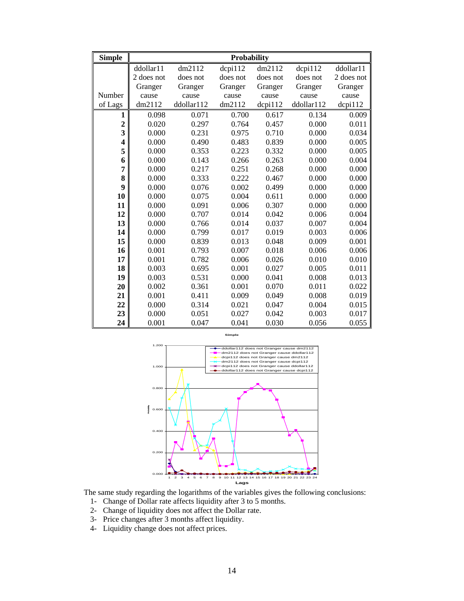| <b>Simple</b>           | <b>Probability</b> |            |               |               |               |               |  |
|-------------------------|--------------------|------------|---------------|---------------|---------------|---------------|--|
|                         | ddollar11          | dm2112     | $d$ cpi $112$ | dm2112        | $d$ cpi $112$ | ddollar11     |  |
|                         | 2 does not         | does not   | does not      | does not      | does not      | 2 does not    |  |
|                         | Granger            | Granger    | Granger       | Granger       | Granger       | Granger       |  |
| Number                  | cause              | cause      | cause         | cause         | cause         | cause         |  |
| of Lags                 | dm2112             | ddollar112 | dm2112        | $d$ cpi $112$ | ddollar112    | $d$ cpi $112$ |  |
| 1                       | 0.098              | 0.071      | 0.700         | 0.617         | 0.134         | 0.009         |  |
| $\overline{2}$          | 0.020              | 0.297      | 0.764         | 0.457         | 0.000         | 0.011         |  |
| $\overline{\mathbf{3}}$ | 0.000              | 0.231      | 0.975         | 0.710         | 0.000         | 0.034         |  |
| 4                       | 0.000              | 0.490      | 0.483         | 0.839         | 0.000         | 0.005         |  |
| 5                       | 0.000              | 0.353      | 0.223         | 0.332         | 0.000         | 0.005         |  |
| 6                       | 0.000              | 0.143      | 0.266         | 0.263         | 0.000         | 0.004         |  |
| $\overline{7}$          | 0.000              | 0.217      | 0.251         | 0.268         | 0.000         | 0.000         |  |
| 8                       | 0.000              | 0.333      | 0.222         | 0.467         | 0.000         | 0.000         |  |
| 9                       | 0.000              | 0.076      | 0.002         | 0.499         | 0.000         | 0.000         |  |
| 10                      | 0.000              | 0.075      | 0.004         | 0.611         | 0.000         | 0.000         |  |
| 11                      | 0.000              | 0.091      | 0.006         | 0.307         | 0.000         | 0.000         |  |
| 12                      | 0.000              | 0.707      | 0.014         | 0.042         | 0.006         | 0.004         |  |
| 13                      | 0.000              | 0.766      | 0.014         | 0.037         | 0.007         | 0.004         |  |
| 14                      | 0.000              | 0.799      | 0.017         | 0.019         | 0.003         | 0.006         |  |
| 15                      | 0.000              | 0.839      | 0.013         | 0.048         | 0.009         | 0.001         |  |
| 16                      | 0.001              | 0.793      | 0.007         | 0.018         | 0.006         | 0.006         |  |
| 17                      | 0.001              | 0.782      | 0.006         | 0.026         | 0.010         | 0.010         |  |
| 18                      | 0.003              | 0.695      | 0.001         | 0.027         | 0.005         | 0.011         |  |
| 19                      | 0.003              | 0.531      | 0.000         | 0.041         | 0.008         | 0.013         |  |
| 20                      | 0.002              | 0.361      | 0.001         | 0.070         | 0.011         | 0.022         |  |
| 21                      | 0.001              | 0.411      | 0.009         | 0.049         | 0.008         | 0.019         |  |
| 22                      | 0.000              | 0.314      | 0.021         | 0.047         | 0.004         | 0.015         |  |
| 23                      | 0.000              | 0.051      | 0.027         | 0.042         | 0.003         | 0.017         |  |
| 24                      | 0.001              | 0.047      | 0.041         | 0.030         | 0.056         | 0.055         |  |



The same study regarding the logarithms of the variables gives the following conclusions:

- 1- Change of Dollar rate affects liquidity after 3 to 5 months.
- 2- Change of liquidity does not affect the Dollar rate.
- 3- Price changes after 3 months affect liquidity.
- 4- Liquidity change does not affect prices.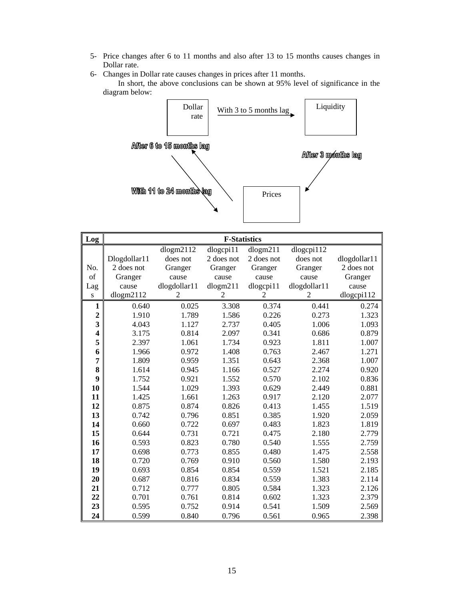- 5- Price changes after 6 to 11 months and also after 13 to 15 months causes changes in Dollar rate.
- 6- Changes in Dollar rate causes changes in prices after 11 months.

In short, the above conclusions can be shown at 95% level of significance in the diagram below:



| Log                     | <b>F-Statistics</b> |              |            |            |              |              |  |
|-------------------------|---------------------|--------------|------------|------------|--------------|--------------|--|
|                         |                     | dlogm2112    | dlogcpi11  | dlogm211   | dlogcpi112   |              |  |
|                         | Dlogdollar11        | does not     | 2 does not | 2 does not | does not     | dlogdollar11 |  |
| No.                     | 2 does not          | Granger      | Granger    | Granger    | Granger      | 2 does not   |  |
| of                      | Granger             | cause        | cause      | cause      | cause        | Granger      |  |
| Lag                     | cause               | dlogdollar11 | dlogm211   | dlogcpi11  | dlogdollar11 | cause        |  |
| S                       | dlogm2112           | 2            | 2          | 2          | 2            | dlogcpi112   |  |
| $\mathbf{1}$            | 0.640               | 0.025        | 3.308      | 0.374      | 0.441        | 0.274        |  |
| $\overline{c}$          | 1.910               | 1.789        | 1.586      | 0.226      | 0.273        | 1.323        |  |
| 3                       | 4.043               | 1.127        | 2.737      | 0.405      | 1.006        | 1.093        |  |
| $\overline{\mathbf{4}}$ | 3.175               | 0.814        | 2.097      | 0.341      | 0.686        | 0.879        |  |
| 5                       | 2.397               | 1.061        | 1.734      | 0.923      | 1.811        | 1.007        |  |
| 6                       | 1.966               | 0.972        | 1.408      | 0.763      | 2.467        | 1.271        |  |
| $\overline{7}$          | 1.809               | 0.959        | 1.351      | 0.643      | 2.368        | 1.007        |  |
| 8                       | 1.614               | 0.945        | 1.166      | 0.527      | 2.274        | 0.920        |  |
| 9                       | 1.752               | 0.921        | 1.552      | 0.570      | 2.102        | 0.836        |  |
| 10                      | 1.544               | 1.029        | 1.393      | 0.629      | 2.449        | 0.881        |  |
| 11                      | 1.425               | 1.661        | 1.263      | 0.917      | 2.120        | 2.077        |  |
| 12                      | 0.875               | 0.874        | 0.826      | 0.413      | 1.455        | 1.519        |  |
| 13                      | 0.742               | 0.796        | 0.851      | 0.385      | 1.920        | 2.059        |  |
| 14                      | 0.660               | 0.722        | 0.697      | 0.483      | 1.823        | 1.819        |  |
| 15                      | 0.644               | 0.731        | 0.721      | 0.475      | 2.180        | 2.779        |  |
| 16                      | 0.593               | 0.823        | 0.780      | 0.540      | 1.555        | 2.759        |  |
| 17                      | 0.698               | 0.773        | 0.855      | 0.480      | 1.475        | 2.558        |  |
| 18                      | 0.720               | 0.769        | 0.910      | 0.560      | 1.580        | 2.193        |  |
| 19                      | 0.693               | 0.854        | 0.854      | 0.559      | 1.521        | 2.185        |  |
| 20                      | 0.687               | 0.816        | 0.834      | 0.559      | 1.383        | 2.114        |  |
| 21                      | 0.712               | 0.777        | 0.805      | 0.584      | 1.323        | 2.126        |  |
| 22                      | 0.701               | 0.761        | 0.814      | 0.602      | 1.323        | 2.379        |  |
| 23                      | 0.595               | 0.752        | 0.914      | 0.541      | 1.509        | 2.569        |  |
| 24                      | 0.599               | 0.840        | 0.796      | 0.561      | 0.965        | 2.398        |  |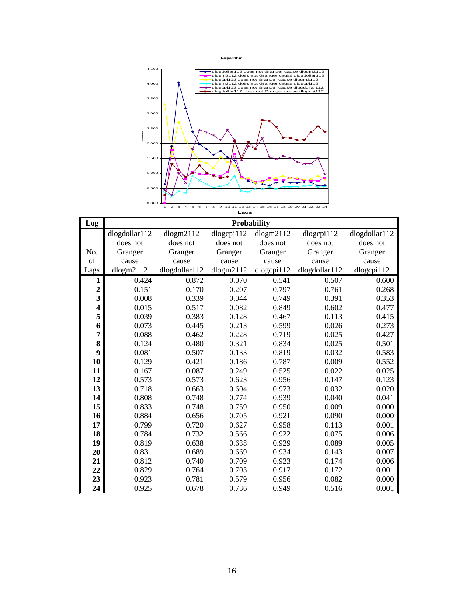**Logarithm**



| Log                     | <b>Probability</b> |               |            |            |               |               |  |
|-------------------------|--------------------|---------------|------------|------------|---------------|---------------|--|
|                         | dlogdollar112      | dlogm2112     | dlogcpi112 | dlogm2112  | dlogcpi112    | dlogdollar112 |  |
|                         | does not           | does not      | does not   | does not   | does not      | does not      |  |
| No.                     | Granger            | Granger       | Granger    | Granger    | Granger       | Granger       |  |
| of                      | cause              | cause         | cause      | cause      | cause         | cause         |  |
| Lags                    | dlogm2112          | dlogdollar112 | dlogm2112  | dlogcpi112 | dlogdollar112 | dlogcpi112    |  |
| 1                       | 0.424              | 0.872         | 0.070      | 0.541      | 0.507         | 0.600         |  |
| $\boldsymbol{2}$        | 0.151              | 0.170         | 0.207      | 0.797      | 0.761         | 0.268         |  |
| $\overline{\mathbf{3}}$ | 0.008              | 0.339         | 0.044      | 0.749      | 0.391         | 0.353         |  |
| 4                       | 0.015              | 0.517         | 0.082      | 0.849      | 0.602         | 0.477         |  |
| 5                       | 0.039              | 0.383         | 0.128      | 0.467      | 0.113         | 0.415         |  |
| 6                       | 0.073              | 0.445         | 0.213      | 0.599      | 0.026         | 0.273         |  |
| 7                       | 0.088              | 0.462         | 0.228      | 0.719      | 0.025         | 0.427         |  |
| 8                       | 0.124              | 0.480         | 0.321      | 0.834      | 0.025         | 0.501         |  |
| 9                       | 0.081              | 0.507         | 0.133      | 0.819      | 0.032         | 0.583         |  |
| 10                      | 0.129              | 0.421         | 0.186      | 0.787      | 0.009         | 0.552         |  |
| 11                      | 0.167              | 0.087         | 0.249      | 0.525      | 0.022         | 0.025         |  |
| 12                      | 0.573              | 0.573         | 0.623      | 0.956      | 0.147         | 0.123         |  |
| 13                      | 0.718              | 0.663         | 0.604      | 0.973      | 0.032         | 0.020         |  |
| 14                      | 0.808              | 0.748         | 0.774      | 0.939      | 0.040         | 0.041         |  |
| 15                      | 0.833              | 0.748         | 0.759      | 0.950      | 0.009         | 0.000         |  |
| 16                      | 0.884              | 0.656         | 0.705      | 0.921      | 0.090         | 0.000         |  |
| 17                      | 0.799              | 0.720         | 0.627      | 0.958      | 0.113         | 0.001         |  |
| 18                      | 0.784              | 0.732         | 0.566      | 0.922      | 0.075         | 0.006         |  |
| 19                      | 0.819              | 0.638         | 0.638      | 0.929      | 0.089         | 0.005         |  |
| 20                      | 0.831              | 0.689         | 0.669      | 0.934      | 0.143         | 0.007         |  |
| 21                      | 0.812              | 0.740         | 0.709      | 0.923      | 0.174         | 0.006         |  |
| 22                      | 0.829              | 0.764         | 0.703      | 0.917      | 0.172         | 0.001         |  |
| 23                      | 0.923              | 0.781         | 0.579      | 0.956      | 0.082         | 0.000         |  |
| 24                      | 0.925              | 0.678         | 0.736      | 0.949      | 0.516         | 0.001         |  |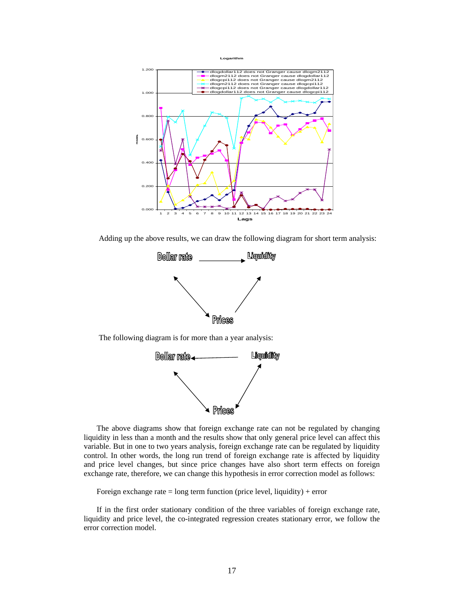

Adding up the above results, we can draw the following diagram for short term analysis:



The following diagram is for more than a year analysis:



The above diagrams show that foreign exchange rate can not be regulated by changing liquidity in less than a month and the results show that only general price level can affect this variable. But in one to two years analysis, foreign exchange rate can be regulated by liquidity control. In other words, the long run trend of foreign exchange rate is affected by liquidity and price level changes, but since price changes have also short term effects on foreign exchange rate, therefore, we can change this hypothesis in error correction model as follows:

Foreign exchange rate  $=$  long term function (price level, liquidity) + error

If in the first order stationary condition of the three variables of foreign exchange rate, liquidity and price level, the co-integrated regression creates stationary error, we follow the error correction model.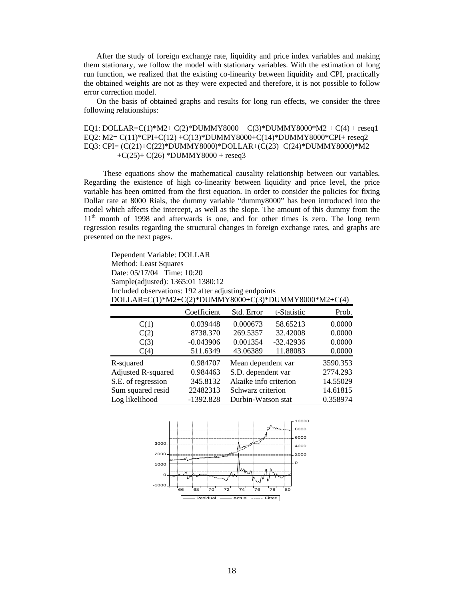After the study of foreign exchange rate, liquidity and price index variables and making them stationary, we follow the model with stationary variables. With the estimation of long run function, we realized that the existing co-linearity between liquidity and CPI, practically the obtained weights are not as they were expected and therefore, it is not possible to follow error correction model.

On the basis of obtained graphs and results for long run effects, we consider the three following relationships:

EQ1: DOLLAR=C(1)\*M2+ C(2)\*DUMMY8000 + C(3)\*DUMMY8000\*M2 + C(4) + reseq1 EQ2: M2= C(11)\*CPI+C(12) +C(13)\*DUMMY8000+C(14)\*DUMMY8000\*CPI+ reseq2 EQ3: CPI= (C(21)+C(22)\*DUMMY8000)\*DOLLAR+(C(23)+C(24)\*DUMMY8000)\*M2  $+C(25)+C(26) *DUMMY8000 + reseq3$ 

These equations show the mathematical causality relationship between our variables. Regarding the existence of high co-linearity between liquidity and price level, the price variable has been omitted from the first equation. In order to consider the policies for fixing Dollar rate at 8000 Rials, the dummy variable "dummy8000" has been introduced into the model which affects the intercept, as well as the slope. The amount of this dummy from the 1<sup>th</sup> month of 1998 and afterwards is one, and for other times is zero. The long term regression results regarding the structural changes in foreign exchange rates, and graphs are presented on the next pages.

Dependent Variable: DOLLAR Method: Least Squares Date: 05/17/04 Time: 10:20 Sample(adjusted): 1365:01 1380:12 Included observations: 192 after adjusting endpoints DOLLAR=C(1)\*M2+C(2)\*DUMMY8000+C(3)\*DUMMY8000\*M2+C(4) Coefficient Std. Error t-Statistic Prob. C(1) 0.039448 0.000673 58.65213 0.0000 C(2) 8738.370 269.5357 32.42008 0.0000  $C(3)$  -0.043906 0.001354 -32.42936 0.0000 C(4) 511.6349 43.06389 11.88083 0.0000 R-squared 0.984707 Mean dependent var 3590.353 Adjusted R-squared 0.984463 S.D. dependent var 2774.293 S.E. of regression 345.8132 Akaike info criterion 14.55029 Sum squared resid 22482313 Schwarz criterion 14.61815 Log likelihood -1392.828 Durbin-Watson stat 0.358974

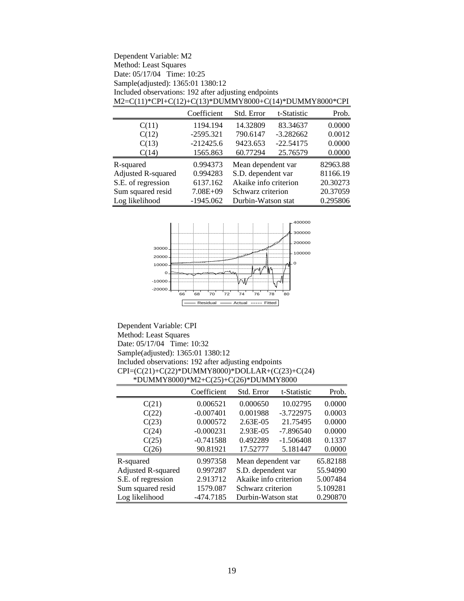| Dependent Variable: M2<br>Method: Least Squares<br>Date: 05/17/04 Time: 10:25 |              |                                   |             |          |  |  |  |  |
|-------------------------------------------------------------------------------|--------------|-----------------------------------|-------------|----------|--|--|--|--|
| Sample(adjusted): 1365:01 1380:12                                             |              |                                   |             |          |  |  |  |  |
| Included observations: 192 after adjusting endpoints                          |              |                                   |             |          |  |  |  |  |
| M2=C(11)*CPI+C(12)+C(13)*DUMMY8000+C(14)*DUMMY8000*CPI                        |              |                                   |             |          |  |  |  |  |
|                                                                               | Coefficient  | Std. Error                        | t-Statistic | Prob.    |  |  |  |  |
| C(11)                                                                         | 1194.194     | 14.32809                          | 83.34637    | 0.0000   |  |  |  |  |
| C(12)                                                                         | $-2595.321$  | 790.6147                          | $-3.282662$ | 0.0012   |  |  |  |  |
| C(13)                                                                         | $-212425.6$  | 9423.653                          | $-22.54175$ | 0.0000   |  |  |  |  |
| C(14)                                                                         | 1565.863     | 60.77294                          | 25.76579    | 0.0000   |  |  |  |  |
| R-squared                                                                     | 0.994373     | Mean dependent var                |             | 82963.88 |  |  |  |  |
| <b>Adjusted R-squared</b>                                                     | 0.994283     | 81166.19<br>S.D. dependent var    |             |          |  |  |  |  |
| S.E. of regression                                                            | 6137.162     | Akaike info criterion<br>20.30273 |             |          |  |  |  |  |
| Sum squared resid                                                             | $7.08E + 09$ | 20.37059<br>Schwarz criterion     |             |          |  |  |  |  |
| Log likelihood                                                                | $-1945.062$  | Durbin-Watson stat                |             | 0.295806 |  |  |  |  |



Dependent Variable: CPI Method: Least Squares Date: 05/17/04 Time: 10:32 Sample(adjusted): 1365:01 1380:12 Included observations: 192 after adjusting endpoints CPI=(C(21)+C(22)\*DUMMY8000)\*DOLLAR+(C(23)+C(24) \*DUMMY8000)\*M2+C(25)+C(26)\*DUMMY8000

|                           | Coefficient | Std. Error            | t-Statistic | Prob.    |
|---------------------------|-------------|-----------------------|-------------|----------|
| C(21)                     | 0.006521    | 0.000650              | 10.02795    | 0.0000   |
| C(22)                     | $-0.007401$ | 0.001988              | $-3.722975$ | 0.0003   |
| C(23)                     | 0.000572    | $2.63E-05$            | 21.75495    | 0.0000   |
| C(24)                     | $-0.000231$ | 2.93E-05              | $-7.896540$ | 0.0000   |
| C(25)                     | $-0.741588$ | 0.492289              | $-1.506408$ | 0.1337   |
| C(26)                     | 90.81921    | 17.52777              | 5.181447    | 0.0000   |
| R-squared                 | 0.997358    | Mean dependent var    |             | 65.82188 |
| <b>Adjusted R-squared</b> | 0.997287    | S.D. dependent var    |             | 55.94090 |
| S.E. of regression        | 2.913712    | Akaike info criterion |             | 5.007484 |
| Sum squared resid         | 1579.087    | Schwarz criterion     |             | 5.109281 |
| Log likelihood            | -474.7185   | Durbin-Watson stat    |             | 0.290870 |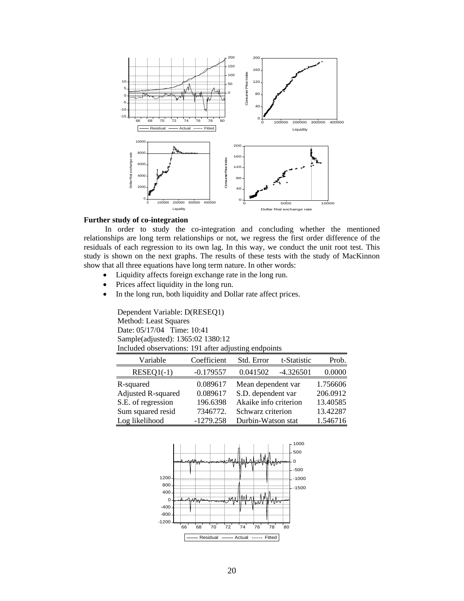

### **Further study of co-integration**

 In order to study the co-integration and concluding whether the mentioned relationships are long term relationships or not, we regress the first order difference of the residuals of each regression to its own lag. In this way, we conduct the unit root test. This study is shown on the next graphs. The results of these tests with the study of MacKinnon show that all three equations have long term nature. In other words:

- Liquidity affects foreign exchange rate in the long run.
- Prices affect liquidity in the long run.
- In the long run, both liquidity and Dollar rate affect prices.

Dependent Variable: D(RESEQ1) Method: Least Squares Date: 05/17/04 Time: 10:41 Sample(adjusted): 1365:02 1380:12 Included observations: 191 after adjusting endpoints

| Variable           | Coefficient | Std. Error            | t-Statistic | Prob.    |
|--------------------|-------------|-----------------------|-------------|----------|
| $RESEQ1(-1)$       | $-0.179557$ | 0.041502              | $-4.326501$ | 0.0000   |
| R-squared          | 0.089617    | Mean dependent var    |             | 1.756606 |
| Adjusted R-squared | 0.089617    | S.D. dependent var    |             | 206.0912 |
| S.E. of regression | 196.6398    | Akaike info criterion |             | 13.40585 |
| Sum squared resid  | 7346772.    | Schwarz criterion     |             | 13.42287 |
| Log likelihood     | $-1279.258$ | Durbin-Watson stat    |             | 1.546716 |

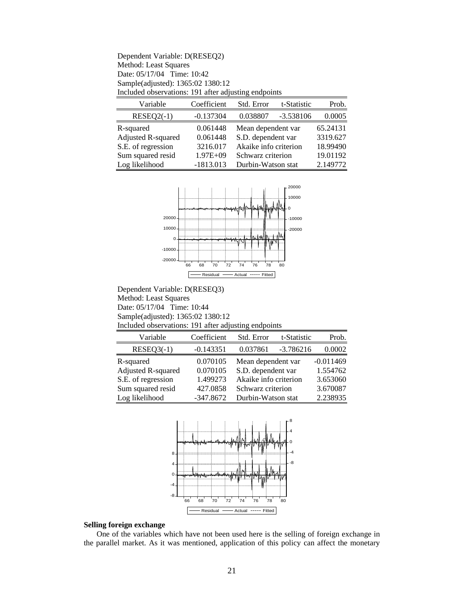| Dependent Variable: D(RESEQ2)                        |
|------------------------------------------------------|
| Method: Least Squares                                |
| Date: $05/17/04$ Time: 10:42                         |
| Sample(adjusted): 1365:02 1380:12                    |
| Included observations: 191 after adjusting endpoints |

| Variable           | Coefficient  | Std. Error            | t-Statistic | Prob.    |
|--------------------|--------------|-----------------------|-------------|----------|
| $RESEQ2(-1)$       | $-0.137304$  | 0.038807              | $-3.538106$ | 0.0005   |
| R-squared          | 0.061448     | Mean dependent var    |             | 65.24131 |
| Adjusted R-squared | 0.061448     | S.D. dependent var    |             | 3319.627 |
| S.E. of regression | 3216.017     | Akaike info criterion |             | 18.99490 |
| Sum squared resid  | $1.97E + 09$ | Schwarz criterion     |             | 19.01192 |
| Log likelihood     | $-1813.013$  | Durbin-Watson stat    |             | 2.149772 |



Dependent Variable: D(RESEQ3) Method: Least Squares Date: 05/17/04 Time: 10:44 Sample(adjusted): 1365:02 1380:12 Included observations: 191 after adjusting endpoints

| Variable                  | Coefficient | Std. Error            | t-Statistic | Prob.       |
|---------------------------|-------------|-----------------------|-------------|-------------|
| $RESEQ3(-1)$              | $-0.143351$ | 0.037861              | $-3.786216$ | 0.0002      |
| R-squared                 | 0.070105    | Mean dependent var    |             | $-0.011469$ |
| <b>Adjusted R-squared</b> | 0.070105    | S.D. dependent var    |             | 1.554762    |
| S.E. of regression        | 1.499273    | Akaike info criterion |             | 3.653060    |
| Sum squared resid         | 427.0858    | Schwarz criterion     |             | 3.670087    |
| Log likelihood            | $-347.8672$ | Durbin-Watson stat    |             | 2.238935    |



## **Selling foreign exchange**

One of the variables which have not been used here is the selling of foreign exchange in the parallel market. As it was mentioned, application of this policy can affect the monetary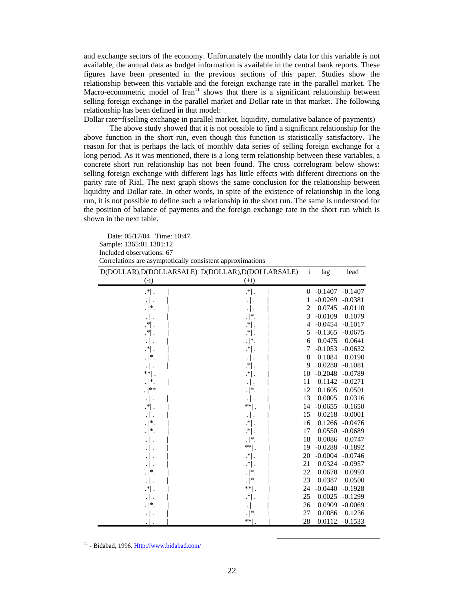and exchange sectors of the economy. Unfortunately the monthly data for this variable is not available, the annual data as budget information is available in the central bank reports. These figures have been presented in the previous sections of this paper. Studies show the relationship between this variable and the foreign exchange rate in the parallel market. The Macro-econometric model of Iran<sup>11</sup> shows that there is a significant relationship between selling foreign exchange in the parallel market and Dollar rate in that market. The following relationship has been defined in that model:

Dollar rate=f(selling exchange in parallel market, liquidity, cumulative balance of payments)

The above study showed that it is not possible to find a significant relationship for the above function in the short run, even though this function is statistically satisfactory. The reason for that is perhaps the lack of monthly data series of selling foreign exchange for a long period. As it was mentioned, there is a long term relationship between these variables, a concrete short run relationship has not been found. The cross correlogram below shows: selling foreign exchange with different lags has little effects with different directions on the parity rate of Rial. The next graph shows the same conclusion for the relationship between liquidity and Dollar rate. In other words, in spite of the existence of relationship in the long run, it is not possible to define such a relationship in the short run. The same is understood for the position of balance of payments and the foreign exchange rate in the short run which is shown in the next table.

Date: 05/17/04 Time: 10:47 Sample: 1365:01 1381:12 Included observations: 67 Correlations are asymptotically consistent approximations

|                         | D(DOLLAR), D(DOLLARSALE) D(DOLLAR), D(DOLLARSALE) | $\mathbf{i}$     | lag       | lead      |
|-------------------------|---------------------------------------------------|------------------|-----------|-----------|
| (i)                     | $(+i)$                                            |                  |           |           |
| $\cdot^*$ .             | $.* $ .                                           | $\boldsymbol{0}$ | $-0.1407$ | $-0.1407$ |
| $\cdot$ .               | $\cdot$ .                                         | 1                | $-0.0269$ | $-0.0381$ |
| $\cdot  ^*.$            | . ا .                                             | $\mathfrak{2}$   | 0.0745    | $-0.0110$ |
| .   .                   | $\cdot  ^*.$                                      | 3                | $-0.0109$ | 0.1079    |
| $\cdot^*$ .             | $\cdot$ <sup>*</sup> $\vert$ .                    | 4                | $-0.0454$ | $-0.1017$ |
| $\cdot$ $\cdot$ $\cdot$ | $\cdot$ $\vert$ .                                 | 5                | $-0.1365$ | $-0.0675$ |
| .   .                   | $\cdot$  *.                                       | 6                | 0.0475    | 0.0641    |
| $.* $ .                 | $.* $ .                                           | 7                | $-0.1053$ | $-0.0632$ |
| $\cdot$  *.             | .   .                                             | 8                | 0.1084    | 0.0190    |
|                         | $\mathcal{F}$ .                                   | 9                | 0.0280    | $-0.1081$ |
| $**$ .                  | $\cdot$ .                                         | 10               | $-0.2048$ | $-0.0789$ |
| $\cdot$  *.             | .   .                                             | 11               | 0.1142    | $-0.0271$ |
| . $ ^{**}$              | $\cdot$  *.                                       | 12               | 0.1605    | 0.0501    |
| .   .                   |                                                   | 13               | 0.0005    | 0.0316    |
| $\cdot^*$ .             | ** .                                              | 14               | $-0.0655$ | $-0.1650$ |
|                         | .   .                                             | 15               | 0.0218    | $-0.0001$ |
| $\cdot$  *.             | $\cdot$ * .                                       | 16               | 0.1266    | $-0.0476$ |
| $\cdot  ^*.$            | $\cdot$ $\vert$ .                                 | 17               | 0.0550    | $-0.0689$ |
| .   .                   | $\cdot$  *.                                       | 18               | 0.0086    | 0.0747    |
| .   .                   | **∣.                                              | 19               | $-0.0288$ | $-0.1892$ |
| .                       | $\left  \cdot \right $ .                          | 20               | $-0.0004$ | $-0.0746$ |
|                         | $\cdot^*$ .                                       | 21               | 0.0324    | $-0.0957$ |
| $\cdot$  *.             | $\cdot$  *.                                       | 22               | 0.0678    | 0.0993    |
| .   .                   | $\cdot  ^*.$                                      | 23               | 0.0387    | 0.0500    |
| $\cdot^*$ .             | $**$ .                                            | 24               | $-0.0440$ | $-0.1928$ |
|                         | $\cdot^*$ .                                       | 25               | 0.0025    | $-0.1299$ |
| $\cdot$  * .            |                                                   | 26               | 0.0909    | $-0.0069$ |
|                         | $\cdot$  *.                                       | 27               | 0.0086    | 0.1236    |
|                         | $**$                                              | 28               | 0.0112    | $-0.1533$ |

 $11$  - Bidabad, 1996. Http://www.bidabad.com/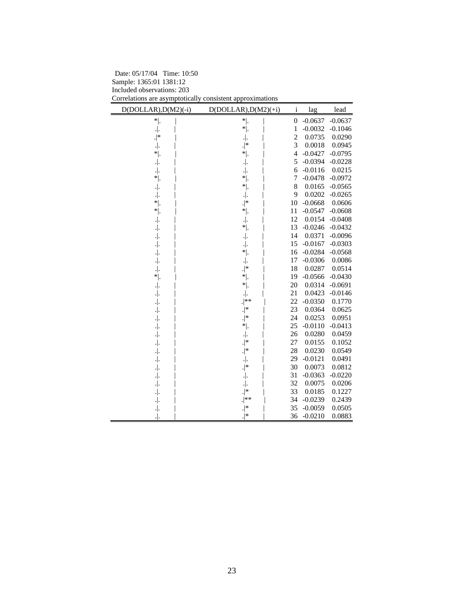| D(DOLLAR), D(M2)(-i) | $D(DOLLAR), D(M2)(+i)$ | i                | lag       | lead      |
|----------------------|------------------------|------------------|-----------|-----------|
| $*$  .               | $*$ .                  | $\boldsymbol{0}$ | $-0.0637$ | $-0.0637$ |
| $\cdot .$            | $*$ .                  | $\mathbf{1}$     | $-0.0032$ | $-0.1046$ |
| $.$   $*$            |                        | $\boldsymbol{2}$ | 0.0735    | 0.0290    |
|                      | $.  ^*$                | 3                | 0.0018    | 0.0945    |
| $*$  .               | $*$  .                 | $\overline{4}$   | $-0.0427$ | $-0.0795$ |
| .∣.                  |                        | 5                | $-0.0394$ | $-0.0228$ |
|                      |                        | 6                | $-0.0116$ | 0.0215    |
| * .                  | $^{\ast}$ .            | 7                | $-0.0478$ | $-0.0972$ |
| . .                  | $*$ .                  | 8                | 0.0165    | $-0.0565$ |
|                      |                        | 9                | 0.0202    | $-0.0265$ |
| $*$ .                | $.$  *                 | 10               | $-0.0668$ | 0.0606    |
| $^*$ .               | $\ast $                | 11               | $-0.0547$ | $-0.0608$ |
|                      |                        | 12               | 0.0154    | $-0.0408$ |
| . .                  | $*$  .                 | 13               | $-0.0246$ | $-0.0432$ |
| . .                  |                        | 14               | 0.0371    | $-0.0096$ |
| .∣.                  |                        | 15               | $-0.0167$ | $-0.0303$ |
|                      | $*$  .                 | 16               | $-0.0284$ | $-0.0568$ |
| . .                  | $\centerdot\ $         | 17               | $-0.0306$ | 0.0086    |
| .∣.                  | $.$  *                 | 18               | 0.0287    | 0.0514    |
| $*$  .               | $*$ .                  | 19               | $-0.0566$ | $-0.0430$ |
| .∣.                  | $*$ .                  | 20               | 0.0314    | $-0.0691$ |
| . .                  | $\cdot  .$             | 21               | 0.0423    | $-0.0146$ |
| . .                  | $.$ **                 | 22               | $-0.0350$ | 0.1770    |
| .∣.                  | $\cdot  ^*$            | 23               | 0.0364    | 0.0625    |
| .∣.                  | $.  ^*$                | 24               | 0.0253    | 0.0951    |
| . .                  | $*$  .                 | 25               | $-0.0110$ | $-0.0413$ |
| $\cdot .$            |                        | 26               | 0.0280    | 0.0459    |
|                      | $.$  *                 | 27               | 0.0155    | 0.1052    |
|                      | $.  ^*$                | 28               | 0.0230    | 0.0549    |
|                      |                        | 29               | $-0.0121$ | 0.0491    |
| .∣.                  | $.  ^*$                | 30               | 0.0073    | 0.0812    |
| . .                  |                        | 31               | $-0.0363$ | $-0.0220$ |
| . .                  | $\centerdot\ $         | 32               | 0.0075    | 0.0206    |
| . .                  | $.  ^*$                | 33               | 0.0185    | 0.1227    |
| .∣.                  | $.$   $**$             | 34               | $-0.0239$ | 0.2439    |
|                      | .∣*                    | 35               | $-0.0059$ | 0.0505    |
|                      | .∣*                    | 36               | $-0.0210$ | 0.0883    |

Date: 05/17/04 Time: 10:50 Sample: 1365:01 1381:12 Included observations: 203 Correlations are asymptotically consistent approximations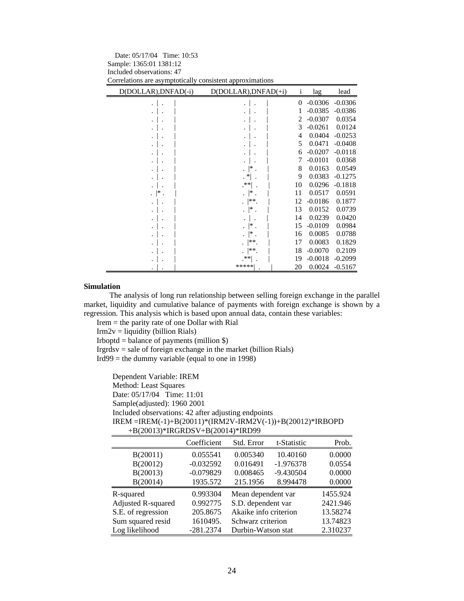| Correlations are asymptotically consistent approximations |                           |              |           |           |  |  |
|-----------------------------------------------------------|---------------------------|--------------|-----------|-----------|--|--|
| D(DOLLAR), DNFAD(-i)                                      | $D(DOLLAR)$ , $DNFAD(+i)$ | $\mathbf{1}$ | lag       | lead      |  |  |
|                                                           |                           | 0            | $-0.0306$ | $-0.0306$ |  |  |
|                                                           |                           | 1            | $-0.0385$ | $-0.0386$ |  |  |
|                                                           |                           | 2            | $-0.0307$ | 0.0354    |  |  |
|                                                           |                           | 3            | $-0.0261$ | 0.0124    |  |  |
|                                                           |                           | 4            | 0.0404    | $-0.0253$ |  |  |
|                                                           |                           | 5            | 0.0471    | $-0.0408$ |  |  |
|                                                           |                           | 6            | $-0.0207$ | $-0.0118$ |  |  |
|                                                           |                           | 7            | $-0.0101$ | 0.0368    |  |  |
|                                                           | *                         | 8            | 0.0163    | 0.0549    |  |  |
|                                                           | $\cdot$ *                 | 9            | 0.0383    | $-0.1275$ |  |  |
|                                                           | .**∣                      | 10           | 0.0296    | $-0.1818$ |  |  |
| ∣∗                                                        | *                         | 11           | 0.0517    | 0.0591    |  |  |
|                                                           | **.                       | 12           | $-0.0186$ | 0.1877    |  |  |
|                                                           | *                         | 13           | 0.0152    | 0.0739    |  |  |
|                                                           |                           | 14           | 0.0239    | 0.0420    |  |  |
|                                                           | $\vert * \vert$ .         | 15           | $-0.0109$ | 0.0984    |  |  |
|                                                           | $\mathsf{I}^*$ .          | 16           | 0.0085    | 0.0788    |  |  |
|                                                           | $***$                     | 17           | 0.0083    | 0.1829    |  |  |
|                                                           | **                        | 18           | $-0.0070$ | 0.2109    |  |  |
|                                                           | $**$                      | 19           | $-0.0018$ | $-0.2099$ |  |  |
|                                                           | *****                     | 20           | 0.0024    | $-0.5167$ |  |  |

Date: 05/17/04 Time: 10:53 Sample: 1365:01 1381:12 Included observations: 47

#### **Simulation**

The analysis of long run relationship between selling foreign exchange in the parallel market, liquidity and cumulative balance of payments with foreign exchange is shown by a regression. This analysis which is based upon annual data, contain these variables:

Irem = the parity rate of one Dollar with Rial

 $Irm2v = liquidity (billion Rials)$ 

Irboptd = balance of payments (million  $\})$ 

Irgrdsv = sale of foreign exchange in the market (billion Rials) Ird $99$  = the dummy variable (equal to one in 1998)

Dependent Variable: IREM Method: Least Squares Date: 05/17/04 Time: 11:01 Sample(adjusted): 1960 2001 Included observations: 42 after adjusting endpoints IREM =IREM(-1)+B(20011)\*(IRM2V-IRM2V(-1))+B(20012)\*IRBOPD +B(20013)\*IRGRDSV+B(20014)\*IRD99

|                           | Coefficient | Std. Error            | t-Statistic | Prob.    |
|---------------------------|-------------|-----------------------|-------------|----------|
| B(20011)                  | 0.055541    | 0.005340              | 10.40160    | 0.0000   |
| B(20012)                  | $-0.032592$ | 0.016491              | $-1.976378$ | 0.0554   |
| B(20013)                  | $-0.079829$ | 0.008465              | $-9.430504$ | 0.0000   |
| B(20014)                  | 1935.572    | 215.1956              | 8.994478    | 0.0000   |
| R-squared                 | 0.993304    | Mean dependent var    |             | 1455.924 |
| <b>Adjusted R-squared</b> | 0.992775    | S.D. dependent var    |             | 2421.946 |
| S.E. of regression        | 205.8675    | Akaike info criterion |             | 13.58274 |
| Sum squared resid         | 1610495.    | Schwarz criterion     |             | 13.74823 |
| Log likelihood            | $-281.2374$ | Durbin-Watson stat    |             | 2.310237 |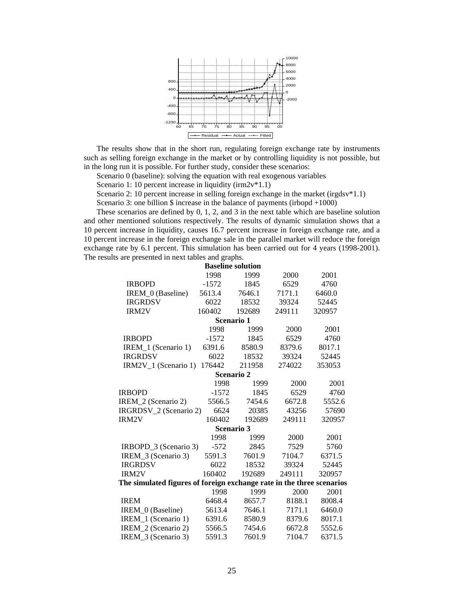

The results show that in the short run, regulating foreign exchange rate by instruments such as selling foreign exchange in the market or by controlling liquidity is not possible, but in the long run it is possible. For further study, consider these scenarios:

Scenario 0 (baseline): solving the equation with real exogenous variables

Scenario 1: 10 percent increase in liquidity (irm2v\*1.1)

Scenario 2: 10 percent increase in selling foreign exchange in the market (irgdsv $*1.1$ )

Scenario 3: one billion \$ increase in the balance of payments (irbopd +1000)

These scenarios are defined by 0, 1, 2, and 3 in the next table which are baseline solution and other mentioned solutions respectively. The results of dynamic simulation shows that a 10 percent increase in liquidity, causes 16.7 percent increase in foreign exchange rate, and a 10 percent increase in the foreign exchange sale in the parallel market will reduce the foreign exchange rate by 6.1 percent. This simulation has been carried out for 4 years (1998-2001). The results are presented in next tables and graphs.

| <b>Baseline solution</b>                                              |                   |        |        |        |  |  |
|-----------------------------------------------------------------------|-------------------|--------|--------|--------|--|--|
|                                                                       | 1998              | 1999   | 2000   | 2001   |  |  |
| <b>IRBOPD</b>                                                         | $-1572$           | 1845   | 6529   | 4760   |  |  |
| IREM 0 (Baseline)                                                     | 5613.4            | 7646.1 | 7171.1 | 6460.0 |  |  |
| <b>IRGRDSV</b>                                                        | 6022              | 18532  | 39324  | 52445  |  |  |
| IRM2V                                                                 | 160402            | 192689 | 249111 | 320957 |  |  |
|                                                                       | Scenario 1        |        |        |        |  |  |
|                                                                       | 1998              | 1999   | 2000   | 2001   |  |  |
| <b>IRBOPD</b>                                                         | $-1572$           | 1845   | 6529   | 4760   |  |  |
| IREM_1 (Scenario 1)                                                   | 6391.6            | 8580.9 | 8379.6 | 8017.1 |  |  |
| <b>IRGRDSV</b>                                                        | 6022              | 18532  | 39324  | 52445  |  |  |
| IRM2V <sub>1</sub> (Scenario 1)                                       | 176442            | 211958 | 274022 | 353053 |  |  |
|                                                                       | <b>Scenario 2</b> |        |        |        |  |  |
|                                                                       | 1998              | 1999   | 2000   | 2001   |  |  |
| <b>IRBOPD</b>                                                         | $-1572$           | 1845   | 6529   | 4760   |  |  |
| IREM_2 (Scenario 2)                                                   | 5566.5            | 7454.6 | 6672.8 | 5552.6 |  |  |
| IRGRDSV 2 (Scenario 2)                                                | 6624              | 20385  | 43256  | 57690  |  |  |
| IRM2V                                                                 | 160402            | 192689 | 249111 | 320957 |  |  |
|                                                                       | Scenario 3        |        |        |        |  |  |
|                                                                       | 1998              | 1999   | 2000   | 2001   |  |  |
| IRBOPD_3 (Scenario 3)                                                 | $-572$            | 2845   | 7529   | 5760   |  |  |
| IREM_3 (Scenario 3)                                                   | 5591.3            | 7601.9 | 7104.7 | 6371.5 |  |  |
| <b>IRGRDSV</b>                                                        | 6022              | 18532  | 39324  | 52445  |  |  |
| IRM2V                                                                 | 160402            | 192689 | 249111 | 320957 |  |  |
| The simulated figures of foreign exchange rate in the three scenarios |                   |        |        |        |  |  |
|                                                                       | 1998              | 1999   | 2000   | 2001   |  |  |
| <b>IREM</b>                                                           | 6468.4            | 8657.7 | 8188.1 | 8008.4 |  |  |
| IREM_0 (Baseline)                                                     | 5613.4            | 7646.1 | 7171.1 | 6460.0 |  |  |
| IREM_1 (Scenario 1)                                                   | 6391.6            | 8580.9 | 8379.6 | 8017.1 |  |  |
| IREM 2 (Scenario 2)                                                   | 5566.5            | 7454.6 | 6672.8 | 5552.6 |  |  |
| IREM 3 (Scenario 3)                                                   | 5591.3            | 7601.9 | 7104.7 | 6371.5 |  |  |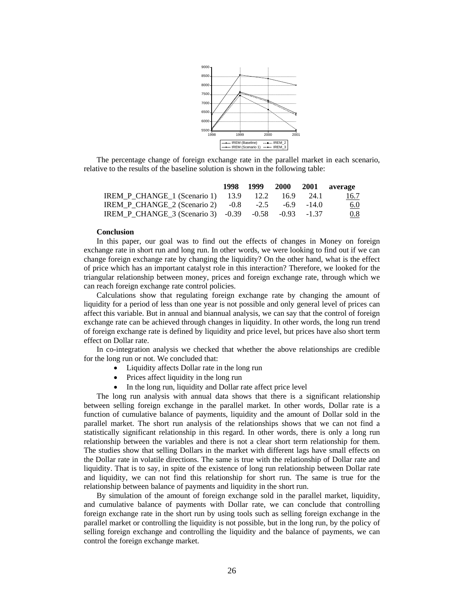

The percentage change of foreign exchange rate in the parallel market in each scenario, relative to the results of the baseline solution is shown in the following table:

|                                                      | 1998 1999 2000 |      | 2001 average |
|------------------------------------------------------|----------------|------|--------------|
| <b>IREM P CHANGE 1 (Scenario 1)</b> 13.9 12.2 16.9   |                | 24.1 | <u>16.7</u>  |
| IREM_P_CHANGE_2 (Scenario 2) -0.8 -2.5 -6.9 -14.0    |                |      | <u>6.0</u>   |
| IREM_P_CHANGE_3 (Scenario 3) -0.39 -0.58 -0.93 -1.37 |                |      | 0.8          |

#### **Conclusion**

In this paper, our goal was to find out the effects of changes in Money on foreign exchange rate in short run and long run. In other words, we were looking to find out if we can change foreign exchange rate by changing the liquidity? On the other hand, what is the effect of price which has an important catalyst role in this interaction? Therefore, we looked for the triangular relationship between money, prices and foreign exchange rate, through which we can reach foreign exchange rate control policies.

Calculations show that regulating foreign exchange rate by changing the amount of liquidity for a period of less than one year is not possible and only general level of prices can affect this variable. But in annual and biannual analysis, we can say that the control of foreign exchange rate can be achieved through changes in liquidity. In other words, the long run trend of foreign exchange rate is defined by liquidity and price level, but prices have also short term effect on Dollar rate.

In co-integration analysis we checked that whether the above relationships are credible for the long run or not. We concluded that:

- Liquidity affects Dollar rate in the long run
- Prices affect liquidity in the long run
- In the long run, liquidity and Dollar rate affect price level

The long run analysis with annual data shows that there is a significant relationship between selling foreign exchange in the parallel market. In other words, Dollar rate is a function of cumulative balance of payments, liquidity and the amount of Dollar sold in the parallel market. The short run analysis of the relationships shows that we can not find a statistically significant relationship in this regard. In other words, there is only a long run relationship between the variables and there is not a clear short term relationship for them. The studies show that selling Dollars in the market with different lags have small effects on the Dollar rate in volatile directions. The same is true with the relationship of Dollar rate and liquidity. That is to say, in spite of the existence of long run relationship between Dollar rate and liquidity, we can not find this relationship for short run. The same is true for the relationship between balance of payments and liquidity in the short run.

By simulation of the amount of foreign exchange sold in the parallel market, liquidity, and cumulative balance of payments with Dollar rate, we can conclude that controlling foreign exchange rate in the short run by using tools such as selling foreign exchange in the parallel market or controlling the liquidity is not possible, but in the long run, by the policy of selling foreign exchange and controlling the liquidity and the balance of payments, we can control the foreign exchange market.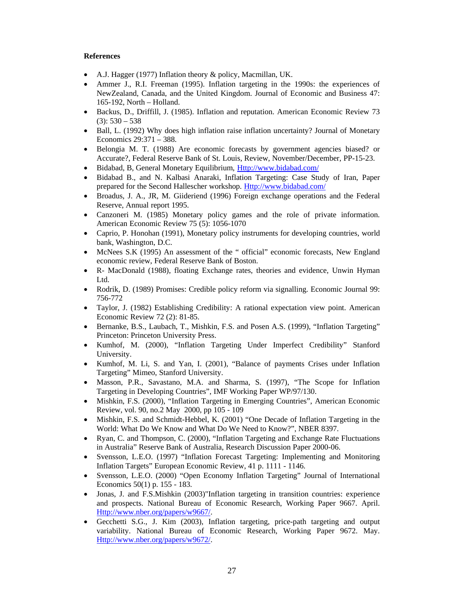# **References**

- A.J. Hagger (1977) Inflation theory & policy, Macmillan, UK.
- Ammer J., R.I. Freeman (1995). Inflation targeting in the 1990s: the experiences of NewZealand, Canada, and the United Kingdom. Journal of Economic and Business 47: 165-192, North – Holland.
- Backus, D., Driffill, J. (1985). Inflation and reputation. American Economic Review 73  $(3): 530 - 538$
- Ball, L. (1992) Why does high inflation raise inflation uncertainty? Journal of Monetary Economics 29:371 – 388.
- Belongia M. T. (1988) Are economic forecasts by government agencies biased? or Accurate?, Federal Reserve Bank of St. Louis, Review, November/December, PP-15-23.
- Bidabad, B, General Monetary Equilibrium, Http://www.bidabad.com/
- Bidabad B., and N. Kalbasi Anaraki, Inflation Targeting: Case Study of Iran, Paper prepared for the Second Hallescher workshop. Http://www.bidabad.com/
- Broadus, J. A., JR, M. Giideriend (1996) Foreign exchange operations and the Federal Reserve, Annual report 1995.
- Canzoneri M. (1985) Monetary policy games and the role of private information. American Economic Review 75 (5): 1056-1070
- Caprio, P. Honohan (1991), Monetary policy instruments for developing countries, world bank, Washington, D.C.
- McNees S.K (1995) An assessment of the " official" economic forecasts, New England economic review, Federal Reserve Bank of Boston.
- R- MacDonald (1988), floating Exchange rates, theories and evidence, Unwin Hyman Ltd.
- Rodrik, D. (1989) Promises: Credible policy reform via signalling. Economic Journal 99: 756-772
- Taylor, J. (1982) Establishing Credibility: A rational expectation view point. American Economic Review 72 (2): 81-85.
- Bernanke, B.S., Laubach, T., Mishkin, F.S. and Posen A.S. (1999), "Inflation Targeting" Princeton: Princeton University Press.
- Kumhof, M. (2000), "Inflation Targeting Under Imperfect Credibility" Stanford University.
- Kumhof, M. Li, S. and Yan, I. (2001), "Balance of payments Crises under Inflation Targeting" Mimeo, Stanford University.
- Masson, P.R., Savastano, M.A. and Sharma, S. (1997), "The Scope for Inflation Targeting in Developing Countries", IMF Working Paper WP/97/130.
- Mishkin, F.S. (2000), "Inflation Targeting in Emerging Countries", American Economic Review, vol. 90, no.2 May 2000, pp 105 - 109
- Mishkin, F.S. and Schmidt-Hebbel, K. (2001) "One Decade of Inflation Targeting in the World: What Do We Know and What Do We Need to Know?", NBER 8397.
- Ryan, C. and Thompson, C. (2000), "Inflation Targeting and Exchange Rate Fluctuations in Australia" Reserve Bank of Australia, Research Discussion Paper 2000-06.
- Svensson, L.E.O. (1997) "Inflation Forecast Targeting: Implementing and Monitoring Inflation Targets" European Economic Review, 41 p. 1111 - 1146.
- Svensson, L.E.O. (2000) "Open Economy Inflation Targeting" Journal of International Economics 50(1) p. 155 - 183.
- Jonas, J. and F.S.Mishkin (2003)"Inflation targeting in transition countries: experience and prospects. National Bureau of Economic Research, Working Paper 9667. April. Http://www.nber.org/papers/w9667/.
- Gecchetti S.G., J. Kim (2003), Inflation targeting, price-path targeting and output variability. National Bureau of Economic Research, Working Paper 9672. May. Http://www.nber.org/papers/w9672/.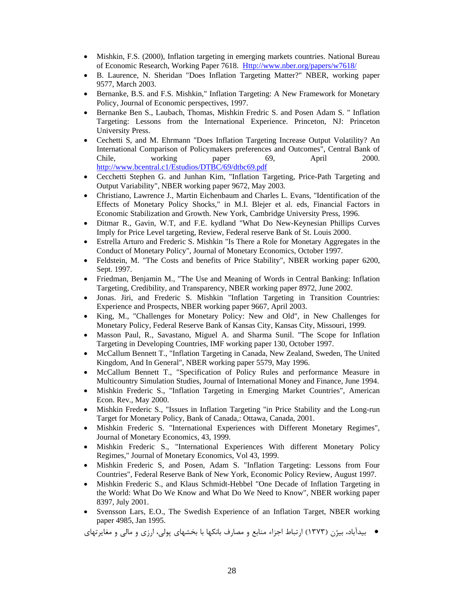- Mishkin, F.S. (2000), Inflation targeting in emerging markets countries. National Bureau of Economic Research, Working Paper 7618. Http://www.nber.org/papers/w7618/
- B. Laurence, N. Sheridan "Does Inflation Targeting Matter?" NBER, working paper 9577, March 2003.
- Bernanke, B.S. and F.S. Mishkin," Inflation Targeting: A New Framework for Monetary Policy, Journal of Economic perspectives, 1997.
- Bernanke Ben S., Laubach, Thomas, Mishkin Fredric S. and Posen Adam S. " Inflation Targeting: Lessons from the International Experience. Princeton, NJ: Princeton University Press.
- Cechetti S, and M. Ehrmann "Does Inflation Targeting Increase Output Volatility? An International Comparison of Policymakers preferences and Outcomes", Central Bank of Chile, working paper 69, April 2000. http://www.bcentral.c1/Estudios/DTBC/69/dtbc69.pdf
- Cecchetti Stephen G. and Junhan Kim, "Inflation Targeting, Price-Path Targeting and Output Variability", NBER working paper 9672, May 2003.
- Christiano, Lawrence J., Martin Eichenbaum and Charles L. Evans, "Identification of the Effects of Monetary Policy Shocks," in M.I. Blejer et al. eds, Financial Factors in Economic Stabilization and Growth. New York, Cambridge University Press, 1996.
- Ditmar R., Gavin, W.T, and F.E. kydland "What Do New-Keynesian Phillips Curves Imply for Price Level targeting, Review, Federal reserve Bank of St. Louis 2000.
- Estrella Arturo and Frederic S. Mishkin "Is There a Role for Monetary Aggregates in the Conduct of Monetary Policy", Journal of Monetary Economics, October 1997.
- Feldstein, M. "The Costs and benefits of Price Stability", NBER working paper 6200, Sept. 1997.
- Friedman, Benjamin M., "The Use and Meaning of Words in Central Banking: Inflation Targeting, Credibility, and Transparency, NBER working paper 8972, June 2002.
- Jonas. Jiri, and Frederic S. Mishkin "Inflation Targeting in Transition Countries: Experience and Prospects, NBER working paper 9667, April 2003.
- King, M., "Challenges for Monetary Policy: New and Old", in New Challenges for Monetary Policy, Federal Reserve Bank of Kansas City, Kansas City, Missouri, 1999.
- Masson Paul, R., Savastano, Miguel A. and Sharma Sunil. "The Scope for Inflation Targeting in Developing Countries, IMF working paper 130, October 1997.
- McCallum Bennett T., "Inflation Targeting in Canada, New Zealand, Sweden, The United Kingdom, And In General", NBER working paper 5579, May 1996.
- McCallum Bennett T., "Specification of Policy Rules and performance Measure in Multicountry Simulation Studies, Journal of International Money and Finance, June 1994.
- Mishkin Frederic S., "Inflation Targeting in Emerging Market Countries", American Econ. Rev., May 2000.
- Mishkin Frederic S., "Issues in Inflation Targeting "in Price Stability and the Long-run Target for Monetary Policy, Bank of Canada,: Ottawa, Canada, 2001.
- Mishkin Frederic S. "International Experiences with Different Monetary Regimes", Journal of Monetary Economics, 43, 1999.
- Mishkin Frederic S., "International Experiences With different Monetary Policy Regimes," Journal of Monetary Economics, Vol 43, 1999.
- Mishkin Frederic S, and Posen, Adam S. "Inflation Targeting: Lessons from Four Countries", Federal Reserve Bank of New York, Economic Policy Review, August 1997.
- Mishkin Frederic S., and Klaus Schmidt-Hebbel "One Decade of Inflation Targeting in the World: What Do We Know and What Do We Need to Know", NBER working paper 8397, July 2001.
- Svensson Lars, E.O., The Swedish Experience of an Inflation Target, NBER working paper 4985, Jan 1995.

بيدآباد، بيژن (1373) ارتباط اجزاء منابع و مصارف بانكها با بخشهاي پولي، ارزي و مالي و مغايرتهاي